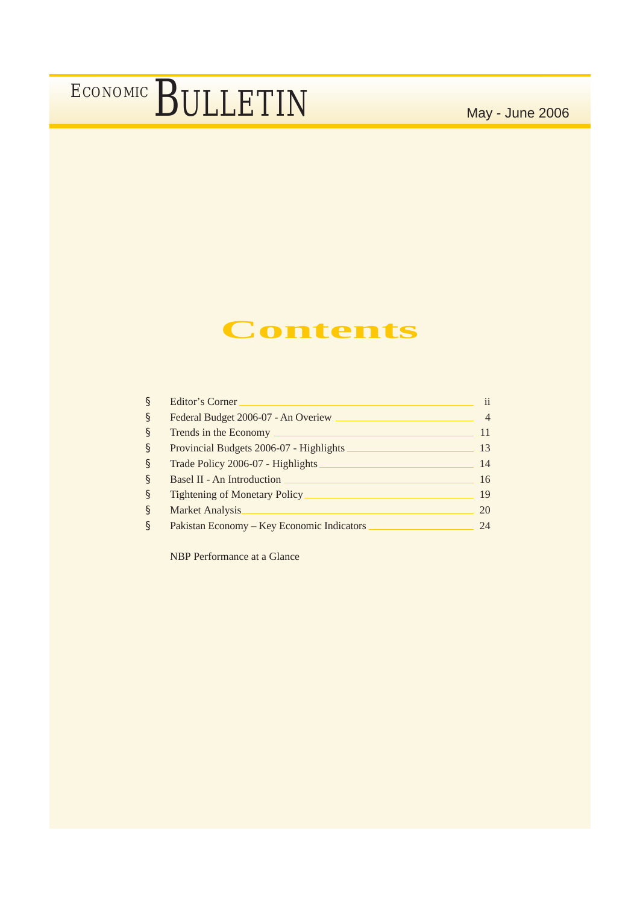### **Contents**

| §    | <b>Editor's Corner</b>                     | $\mathbf{ii}$  |
|------|--------------------------------------------|----------------|
| S    | Federal Budget 2006-07 - An Overiew        | $\overline{4}$ |
| S    | Trends in the Economy                      | 11             |
| S    | Provincial Budgets 2006-07 - Highlights    | 13             |
| $\S$ | Trade Policy 2006-07 - Highlights          | 14             |
| $\S$ | <b>Basel II - An Introduction</b>          | 16             |
| $\S$ | Tightening of Monetary Policy              | 19             |
| §    | Market Analysis                            | 20             |
| §    | Pakistan Economy – Key Economic Indicators | 24             |

NBP Performance at a Glance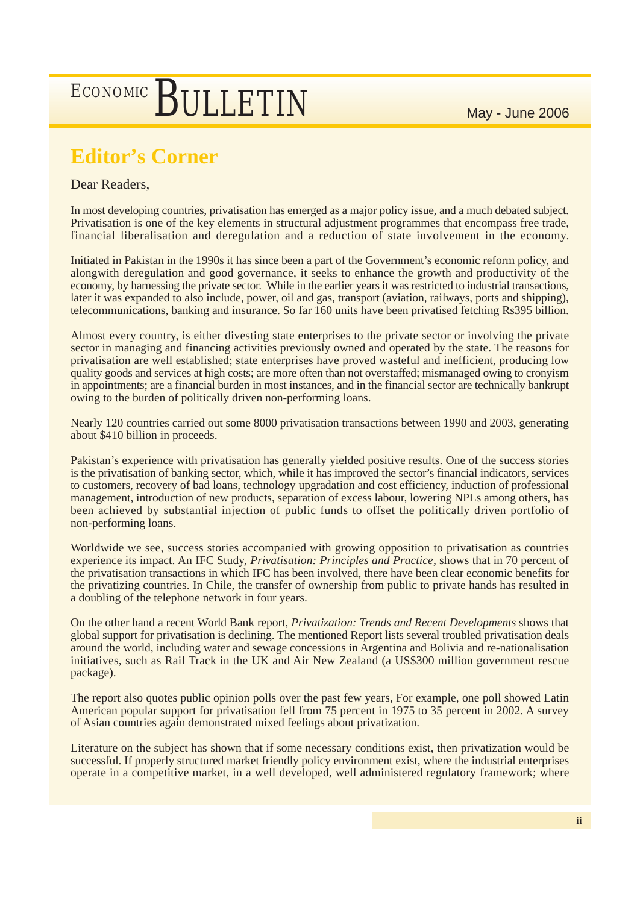### **Editor's Corner**

### Dear Readers,

In most developing countries, privatisation has emerged as a major policy issue, and a much debated subject. Privatisation is one of the key elements in structural adjustment programmes that encompass free trade, financial liberalisation and deregulation and a reduction of state involvement in the economy.

Initiated in Pakistan in the 1990s it has since been a part of the Government's economic reform policy, and alongwith deregulation and good governance, it seeks to enhance the growth and productivity of the economy, by harnessing the private sector. While in the earlier years it was restricted to industrial transactions, later it was expanded to also include, power, oil and gas, transport (aviation, railways, ports and shipping), telecommunications, banking and insurance. So far 160 units have been privatised fetching Rs395 billion.

Almost every country, is either divesting state enterprises to the private sector or involving the private sector in managing and financing activities previously owned and operated by the state. The reasons for privatisation are well established; state enterprises have proved wasteful and inefficient, producing low quality goods and services at high costs; are more often than not overstaffed; mismanaged owing to cronyism in appointments; are a financial burden in most instances, and in the financial sector are technically bankrupt owing to the burden of politically driven non-performing loans.

Nearly 120 countries carried out some 8000 privatisation transactions between 1990 and 2003, generating about \$410 billion in proceeds.

Pakistan's experience with privatisation has generally yielded positive results. One of the success stories is the privatisation of banking sector, which, while it has improved the sector's financial indicators, services to customers, recovery of bad loans, technology upgradation and cost efficiency, induction of professional management, introduction of new products, separation of excess labour, lowering NPLs among others, has been achieved by substantial injection of public funds to offset the politically driven portfolio of non-performing loans.

Worldwide we see, success stories accompanied with growing opposition to privatisation as countries experience its impact. An IFC Study, *Privatisation: Principles and Practice*, shows that in 70 percent of the privatisation transactions in which IFC has been involved, there have been clear economic benefits for the privatizing countries. In Chile, the transfer of ownership from public to private hands has resulted in a doubling of the telephone network in four years.

On the other hand a recent World Bank report, *Privatization: Trends and Recent Developments* shows that global support for privatisation is declining. The mentioned Report lists several troubled privatisation deals around the world, including water and sewage concessions in Argentina and Bolivia and re-nationalisation initiatives, such as Rail Track in the UK and Air New Zealand (a US\$300 million government rescue package).

The report also quotes public opinion polls over the past few years, For example, one poll showed Latin American popular support for privatisation fell from 75 percent in 1975 to 35 percent in 2002. A survey of Asian countries again demonstrated mixed feelings about privatization.

Literature on the subject has shown that if some necessary conditions exist, then privatization would be successful. If properly structured market friendly policy environment exist, where the industrial enterprises operate in a competitive market, in a well developed, well administered regulatory framework; where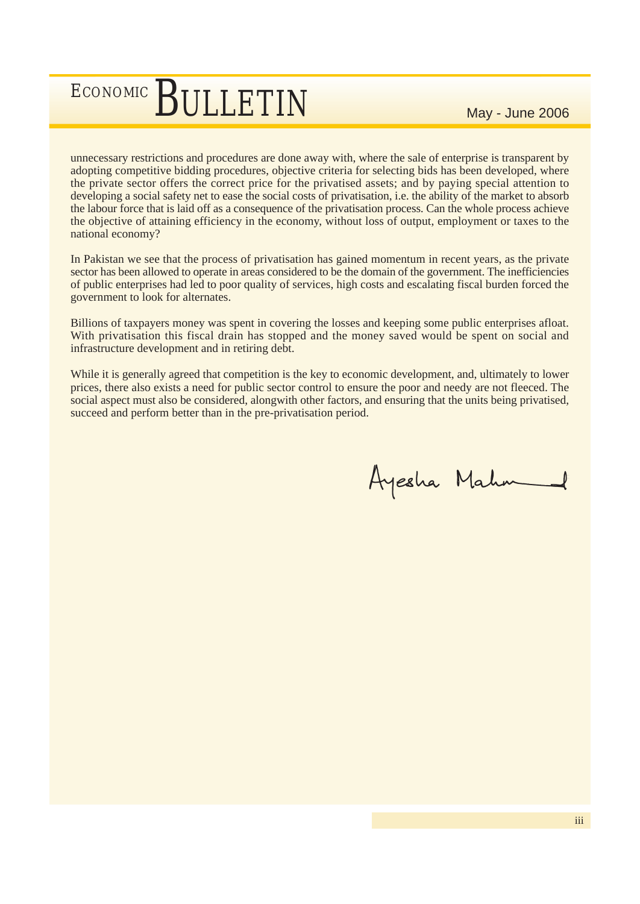unnecessary restrictions and procedures are done away with, where the sale of enterprise is transparent by adopting competitive bidding procedures, objective criteria for selecting bids has been developed, where the private sector offers the correct price for the privatised assets; and by paying special attention to developing a social safety net to ease the social costs of privatisation, i.e. the ability of the market to absorb the labour force that is laid off as a consequence of the privatisation process. Can the whole process achieve the objective of attaining efficiency in the economy, without loss of output, employment or taxes to the national economy?

In Pakistan we see that the process of privatisation has gained momentum in recent years, as the private sector has been allowed to operate in areas considered to be the domain of the government. The inefficiencies of public enterprises had led to poor quality of services, high costs and escalating fiscal burden forced the government to look for alternates.

Billions of taxpayers money was spent in covering the losses and keeping some public enterprises afloat. With privatisation this fiscal drain has stopped and the money saved would be spent on social and infrastructure development and in retiring debt.

While it is generally agreed that competition is the key to economic development, and, ultimately to lower prices, there also exists a need for public sector control to ensure the poor and needy are not fleeced. The social aspect must also be considered, alongwith other factors, and ensuring that the units being privatised, succeed and perform better than in the pre-privatisation period.

Ayesha Mahm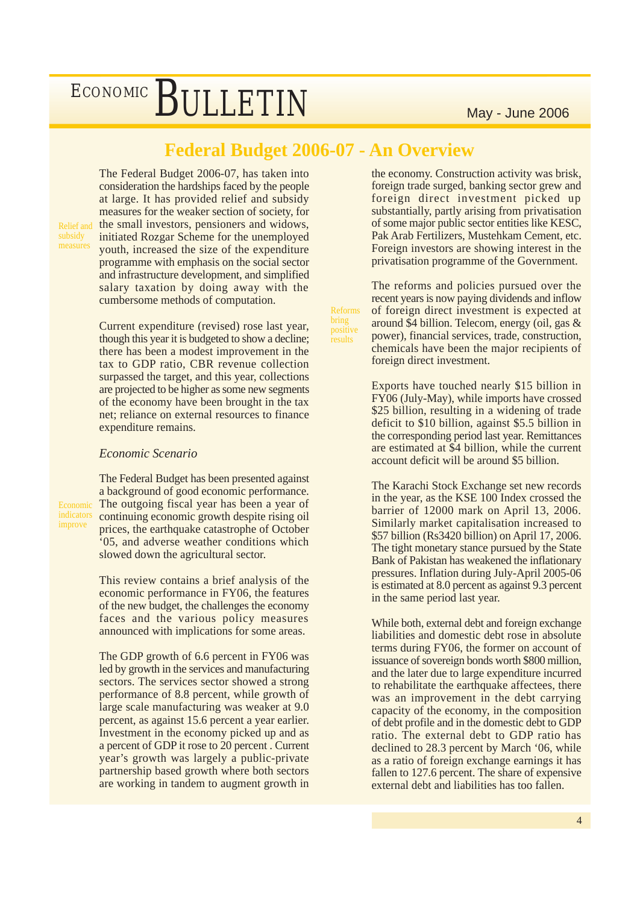### **Federal Budget 2006-07 - An Overview**

Reforms bring positive results

Relief and

Economic indicators improve

The Federal Budget 2006-07, has taken into consideration the hardships faced by the people at large. It has provided relief and subsidy measures for the weaker section of society, for the small investors, pensioners and widows, initiated Rozgar Scheme for the unemployed youth, increased the size of the expenditure programme with emphasis on the social sector and infrastructure development, and simplified salary taxation by doing away with the cumbersome methods of computation.

Current expenditure (revised) rose last year, though this year it is budgeted to show a decline; there has been a modest improvement in the tax to GDP ratio, CBR revenue collection surpassed the target, and this year, collections are projected to be higher as some new segments of the economy have been brought in the tax net; reliance on external resources to finance expenditure remains.

### *Economic Scenario*

The Federal Budget has been presented against a background of good economic performance. The outgoing fiscal year has been a year of continuing economic growth despite rising oil prices, the earthquake catastrophe of October '05, and adverse weather conditions which slowed down the agricultural sector.

This review contains a brief analysis of the economic performance in FY06, the features of the new budget, the challenges the economy faces and the various policy measures announced with implications for some areas.

The GDP growth of 6.6 percent in FY06 was led by growth in the services and manufacturing sectors. The services sector showed a strong performance of 8.8 percent, while growth of large scale manufacturing was weaker at 9.0 percent, as against 15.6 percent a year earlier. Investment in the economy picked up and as a percent of GDP it rose to 20 percent . Current year's growth was largely a public-private partnership based growth where both sectors are working in tandem to augment growth in

the economy. Construction activity was brisk, foreign trade surged, banking sector grew and foreign direct investment picked up substantially, partly arising from privatisation of some major public sector entities like KESC, Pak Arab Fertilizers, Mustehkam Cement, etc. Foreign investors are showing interest in the privatisation programme of the Government.

The reforms and policies pursued over the recent years is now paying dividends and inflow of foreign direct investment is expected at around \$4 billion. Telecom, energy (oil, gas & power), financial services, trade, construction, chemicals have been the major recipients of foreign direct investment.

Exports have touched nearly \$15 billion in FY06 (July-May), while imports have crossed \$25 billion, resulting in a widening of trade deficit to \$10 billion, against \$5.5 billion in the corresponding period last year. Remittances are estimated at \$4 billion, while the current account deficit will be around \$5 billion.

The Karachi Stock Exchange set new records in the year, as the KSE 100 Index crossed the barrier of 12000 mark on April 13, 2006. Similarly market capitalisation increased to \$57 billion (Rs3420 billion) on April 17, 2006. The tight monetary stance pursued by the State Bank of Pakistan has weakened the inflationary pressures. Inflation during July-April 2005-06 is estimated at 8.0 percent as against 9.3 percent in the same period last year.

While both, external debt and foreign exchange liabilities and domestic debt rose in absolute terms during FY06, the former on account of issuance of sovereign bonds worth \$800 million, and the later due to large expenditure incurred to rehabilitate the earthquake affectees, there was an improvement in the debt carrying capacity of the economy, in the composition of debt profile and in the domestic debt to GDP ratio. The external debt to GDP ratio has declined to 28.3 percent by March '06, while as a ratio of foreign exchange earnings it has fallen to 127.6 percent. The share of expensive external debt and liabilities has too fallen.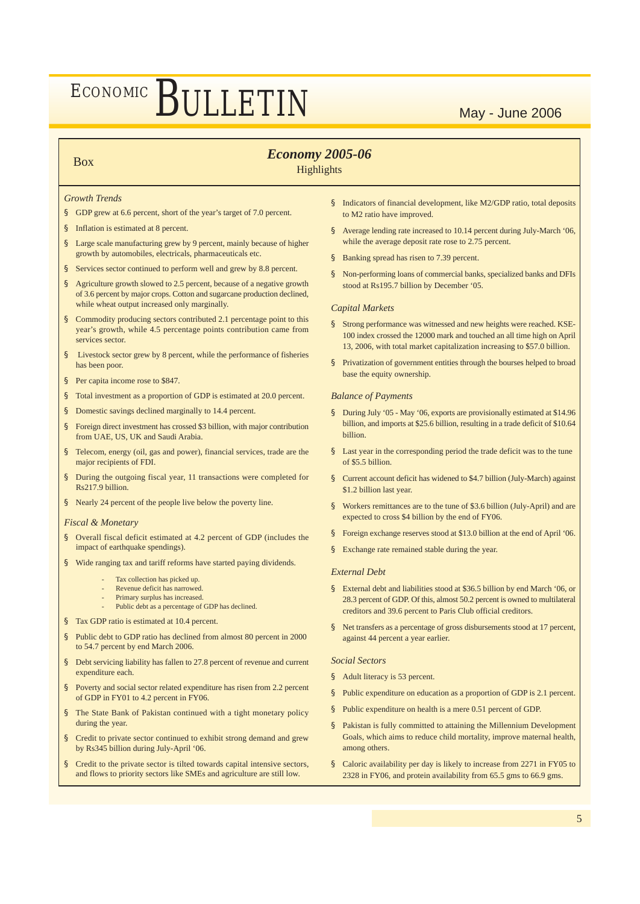### Box *Economy 2005-06*

### **Highlights**

#### *Growth Trends*

- § GDP grew at 6.6 percent, short of the year's target of 7.0 percent.
- Inflation is estimated at 8 percent.
- § Large scale manufacturing grew by 9 percent, mainly because of higher growth by automobiles, electricals, pharmaceuticals etc.
- § Services sector continued to perform well and grew by 8.8 percent.
- § Agriculture growth slowed to 2.5 percent, because of a negative growth of 3.6 percent by major crops. Cotton and sugarcane production declined, while wheat output increased only marginally.
- § Commodity producing sectors contributed 2.1 percentage point to this year's growth, while 4.5 percentage points contribution came from services sector.
- Livestock sector grew by 8 percent, while the performance of fisheries has been poor.
- § Per capita income rose to \$847.
- § Total investment as a proportion of GDP is estimated at 20.0 percent.
- § Domestic savings declined marginally to 14.4 percent.
- § Foreign direct investment has crossed \$3 billion, with major contribution from UAE, US, UK and Saudi Arabia.
- Telecom, energy (oil, gas and power), financial services, trade are the major recipients of FDI.
- § During the outgoing fiscal year, 11 transactions were completed for Rs217.9 billion.
- § Nearly 24 percent of the people live below the poverty line.

#### *Fiscal & Monetary*

- § Overall fiscal deficit estimated at 4.2 percent of GDP (includes the impact of earthquake spendings).
- § Wide ranging tax and tariff reforms have started paying dividends.
	- Tax collection has picked up.
	- Revenue deficit has narrowed.
	- Primary surplus has increased.
	- Public debt as a percentage of GDP has declined
- § Tax GDP ratio is estimated at 10.4 percent.
- § Public debt to GDP ratio has declined from almost 80 percent in 2000 to 54.7 percent by end March 2006.
- § Debt servicing liability has fallen to 27.8 percent of revenue and current expenditure each.
- § Poverty and social sector related expenditure has risen from 2.2 percent of GDP in FY01 to 4.2 percent in FY06.
- § The State Bank of Pakistan continued with a tight monetary policy during the year.
- § Credit to private sector continued to exhibit strong demand and grew by Rs345 billion during July-April '06.
- § Credit to the private sector is tilted towards capital intensive sectors, and flows to priority sectors like SMEs and agriculture are still low.
- § Indicators of financial development, like M2/GDP ratio, total deposits to M2 ratio have improved.
- § Average lending rate increased to 10.14 percent during July-March '06, while the average deposit rate rose to 2.75 percent.
- § Banking spread has risen to 7.39 percent.
- § Non-performing loans of commercial banks, specialized banks and DFIs stood at Rs195.7 billion by December '05.

#### *Capital Markets*

- § Strong performance was witnessed and new heights were reached. KSE-100 index crossed the 12000 mark and touched an all time high on April 13, 2006, with total market capitalization increasing to \$57.0 billion.
- § Privatization of government entities through the bourses helped to broad base the equity ownership.

#### *Balance of Payments*

- § During July '05 May '06, exports are provisionally estimated at \$14.96 billion, and imports at \$25.6 billion, resulting in a trade deficit of \$10.64 billion.
- § Last year in the corresponding period the trade deficit was to the tune of \$5.5 billion.
- § Current account deficit has widened to \$4.7 billion (July-March) against \$1.2 billion last year.
- § Workers remittances are to the tune of \$3.6 billion (July-April) and are expected to cross \$4 billion by the end of FY06.
- § Foreign exchange reserves stood at \$13.0 billion at the end of April '06.
- § Exchange rate remained stable during the year.

#### *External Debt*

- § External debt and liabilities stood at \$36.5 billion by end March '06, or 28.3 percent of GDP. Of this, almost 50.2 percent is owned to multilateral creditors and 39.6 percent to Paris Club official creditors.
- § Net transfers as a percentage of gross disbursements stood at 17 percent, against 44 percent a year earlier.

#### *Social Sectors*

- § Adult literacy is 53 percent.
- § Public expenditure on education as a proportion of GDP is 2.1 percent.
- § Public expenditure on health is a mere 0.51 percent of GDP.
- § Pakistan is fully committed to attaining the Millennium Development Goals, which aims to reduce child mortality, improve maternal health, among others.
- § Caloric availability per day is likely to increase from 2271 in FY05 to 2328 in FY06, and protein availability from 65.5 gms to 66.9 gms.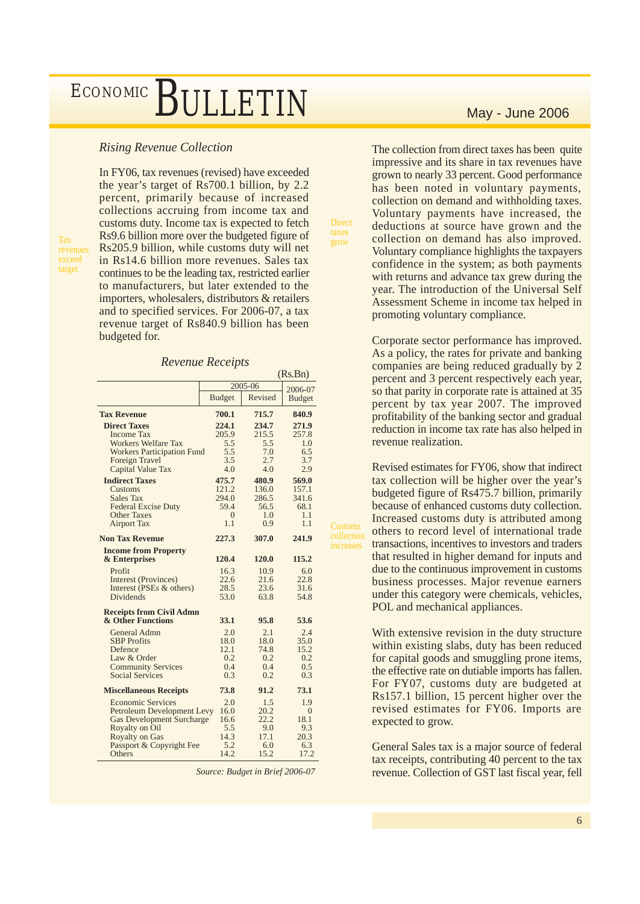### *Rising Revenue Collection*

**Tax** revenues exceed target

In FY06, tax revenues (revised) have exceeded the year's target of Rs700.1 billion, by 2.2 percent, primarily because of increased collections accruing from income tax and customs duty. Income tax is expected to fetch Rs9.6 billion more over the budgeted figure of Rs205.9 billion, while customs duty will net in Rs14.6 billion more revenues. Sales tax continues to be the leading tax, restricted earlier to manufacturers, but later extended to the importers, wholesalers, distributors & retailers and to specified services. For 2006-07, a tax revenue target of Rs840.9 billion has been budgeted for.

#### *Revenue Receipts*

|                                  | (Rs.Bn)       |         |                |
|----------------------------------|---------------|---------|----------------|
|                                  |               | 2005-06 |                |
|                                  | <b>Budget</b> | Revised | <b>Budget</b>  |
| <b>Tax Revenue</b>               | 700.1         | 715.7   | 840.9          |
| <b>Direct Taxes</b>              | 224.1         | 234.7   | 271.9          |
| <b>Income Tax</b>                | 205.9         | 215.5   | 257.8          |
| <b>Workers Welfare Tax</b>       | 5.5           | 5.5     | 1.0            |
| Workers Participation Fund       | 5.5           | 7.0     | 6.5            |
| Foreign Travel                   | 3.5           | 2.7     | 3.7            |
| Capital Value Tax                | 4.0           | 4.0     | 2.9            |
| <b>Indirect Taxes</b>            | 475.7         | 480.9   | 569.0          |
| Customs                          | 121.2         | 136.0   | 157.1          |
| <b>Sales Tax</b>                 | 294.0         | 286.5   | 341.6          |
| <b>Federal Excise Duty</b>       | 59.4          | 56.5    | 68.1           |
| <b>Other Taxes</b>               | $\Omega$      | 1.0     | 1.1            |
| <b>Airport Tax</b>               | 1.1           | 0.9     | 1.1            |
| <b>Non Tax Revenue</b>           | 227.3         | 307.0   | 241.9          |
| <b>Income from Property</b>      |               |         |                |
| & Enterprises                    | 120.4         | 120.0   | 115.2          |
| Profit                           | 16.3          | 10.9    | 6.0            |
| Interest (Provinces)             | 22.6          | 21.6    | 22.8           |
| Interest (PSEs & others)         | 28.5          | 23.6    | 31.6           |
| <b>Dividends</b>                 | 53.0          | 63.8    | 54.8           |
| <b>Receipts from Civil Admn</b>  |               |         |                |
| & Other Functions                | 33.1          | 95.8    | 53.6           |
| General Admn                     | 2.0           | 2.1     | 2.4            |
| <b>SBP</b> Profits               | 18.0          | 18.0    | 35.0           |
| Defence                          | 12.1          | 74.8    | 15.2           |
| Law & Order                      | 0.2           | 0.2     | 0.2            |
| <b>Community Services</b>        | 0.4           | 0.4     | 0.5            |
| <b>Social Services</b>           | 0.3           | 0.2     | 0.3            |
| <b>Miscellaneous Receipts</b>    | 73.8          | 91.2    | 73.1           |
| <b>Economic Services</b>         | 2.0           | 1.5     | 1.9            |
| Petroleum Development Levy       | 16.0          | 20.2    | $\overline{0}$ |
| <b>Gas Development Surcharge</b> | 16.6          | 22.2    | 18.1           |
| Royalty on Oil                   | 5.5           | 9.0     | 9.3            |
| <b>Royalty on Gas</b>            | 14.3          | 17.1    | 20.3           |
| Passport & Copyright Fee         | 5.2           | 6.0     | 6.3            |
| Others                           | 14.2          | 15.2    | 17.2           |

*Source: Budget in Brief 2006-07*

The collection from direct taxes has been quite impressive and its share in tax revenues have grown to nearly 33 percent. Good performance has been noted in voluntary payments, collection on demand and withholding taxes. Voluntary payments have increased, the deductions at source have grown and the collection on demand has also improved. Voluntary compliance highlights the taxpayers confidence in the system; as both payments with returns and advance tax grew during the year. The introduction of the Universal Self Assessment Scheme in income tax helped in promoting voluntary compliance.

**Direct** grow

Customs increases

Corporate sector performance has improved. As a policy, the rates for private and banking companies are being reduced gradually by 2 percent and 3 percent respectively each year, so that parity in corporate rate is attained at 35 percent by tax year 2007. The improved profitability of the banking sector and gradual reduction in income tax rate has also helped in revenue realization.

Revised estimates for FY06, show that indirect tax collection will be higher over the year's budgeted figure of Rs475.7 billion, primarily because of enhanced customs duty collection. Increased customs duty is attributed among others to record level of international trade transactions, incentives to investors and traders that resulted in higher demand for inputs and due to the continuous improvement in customs business processes. Major revenue earners under this category were chemicals, vehicles, POL and mechanical appliances.

With extensive revision in the duty structure within existing slabs, duty has been reduced for capital goods and smuggling prone items, the effective rate on dutiable imports has fallen. For FY07, customs duty are budgeted at Rs157.1 billion, 15 percent higher over the revised estimates for FY06. Imports are expected to grow.

General Sales tax is a major source of federal tax receipts, contributing 40 percent to the tax revenue. Collection of GST last fiscal year, fell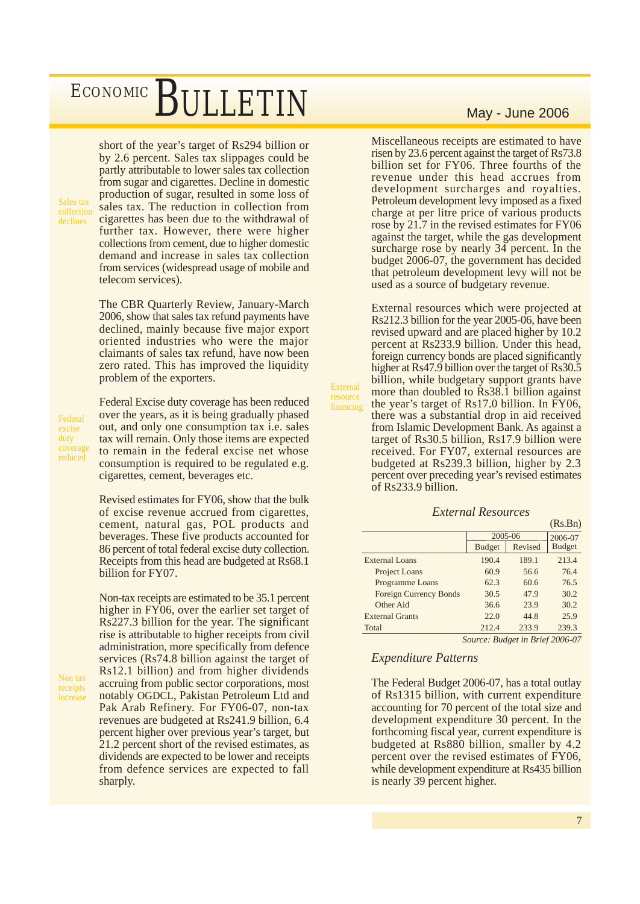short of the year's target of Rs294 billion or by 2.6 percent. Sales tax slippages could be partly attributable to lower sales tax collection from sugar and cigarettes. Decline in domestic production of sugar, resulted in some loss of sales tax. The reduction in collection from cigarettes has been due to the withdrawal of further tax. However, there were higher collections from cement, due to higher domestic demand and increase in sales tax collection from services (widespread usage of mobile and telecom services).

The CBR Quarterly Review, January-March 2006, show that sales tax refund payments have declined, mainly because five major export oriented industries who were the major claimants of sales tax refund, have now been zero rated. This has improved the liquidity problem of the exporters.

Federal excise duty coverage reduced

Non tax receipts

Sales tax collection declines

> Federal Excise duty coverage has been reduced over the years, as it is being gradually phased out, and only one consumption tax i.e. sales tax will remain. Only those items are expected to remain in the federal excise net whose consumption is required to be regulated e.g. cigarettes, cement, beverages etc.

Revised estimates for FY06, show that the bulk of excise revenue accrued from cigarettes, cement, natural gas, POL products and beverages. These five products accounted for 86 percent of total federal excise duty collection. Receipts from this head are budgeted at Rs68.1 billion for FY07.

Non-tax receipts are estimated to be 35.1 percent higher in FY06, over the earlier set target of Rs227.3 billion for the year. The significant rise is attributable to higher receipts from civil administration, more specifically from defence services (Rs74.8 billion against the target of Rs12.1 billion) and from higher dividends accruing from public sector corporations, most notably OGDCL, Pakistan Petroleum Ltd and Pak Arab Refinery. For FY06-07, non-tax revenues are budgeted at Rs241.9 billion, 6.4 percent higher over previous year's target, but 21.2 percent short of the revised estimates, as dividends are expected to be lower and receipts from defence services are expected to fall sharply.

Miscellaneous receipts are estimated to have risen by 23.6 percent against the target of Rs73.8 billion set for FY06. Three fourths of the revenue under this head accrues from development surcharges and royalties. Petroleum development levy imposed as a fixed charge at per litre price of various products rose by 21.7 in the revised estimates for FY06 against the target, while the gas development surcharge rose by nearly 34 percent. In the budget 2006-07, the government has decided that petroleum development levy will not be used as a source of budgetary revenue.

External resources which were projected at Rs212.3 billion for the year 2005-06, have been revised upward and are placed higher by 10.2 percent at Rs233.9 billion. Under this head, foreign currency bonds are placed significantly higher at Rs47.9 billion over the target of Rs30.5 billion, while budgetary support grants have more than doubled to Rs38.1 billion against the year's target of Rs17.0 billion. In FY06, there was a substantial drop in aid received from Islamic Development Bank. As against a target of Rs30.5 billion, Rs17.9 billion were received. For FY07, external resources are budgeted at Rs239.3 billion, higher by 2.3 percent over preceding year's revised estimates of Rs233.9 billion.

External resource financing

#### (Rs.Bn) 2006-07 Budget External Loans 190.4 189.1 213.4 Project Loans 60.9 56.6 76.4 Programme Loans 62.3 60.6 76.5 Foreign Currency Bonds 30.5 47.9 30.2 Other Aid 36.6 23.9 30.2 External Grants 22.0 44.8 25.9 Total 212.4 233.9 239.3  $\begin{array}{r|c}\n\text{2005-06} \\
\hline\n\text{Budget} & \text{Re}\n\end{array}$ Revised

 *External Resources*

*Source: Budget in Brief 2006-07*

### *Expenditure Patterns*

The Federal Budget 2006-07, has a total outlay of Rs1315 billion, with current expenditure accounting for 70 percent of the total size and development expenditure 30 percent. In the forthcoming fiscal year, current expenditure is budgeted at Rs880 billion, smaller by 4.2 percent over the revised estimates of FY06, while development expenditure at Rs435 billion is nearly 39 percent higher.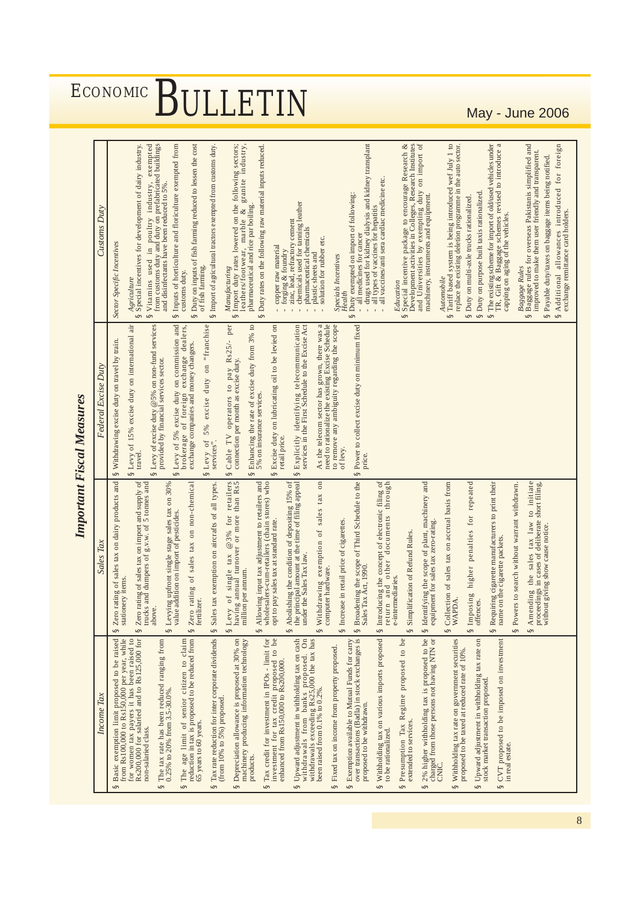| <b>LDB9</b>                  |
|------------------------------|
| 2.351                        |
| $\frac{1}{2}$<br><b>"ומת</b> |

| <b>ECONOMIC</b><br>BULLETI<br>May - June 2006 |                     |                                                                                                                                                                                                                                                                                                                                                                                                                                                                                                                                                                                                                                                                                                                                                                                                                                                                                                                                                                                                                                                                                                                                                                                                                                                                                                                                                                                                                                                                                                                                                                                                                                                                                                                                                                                                                                                                                                                                                                                                                                                                                                                                                                        |  |  |  |  |  |
|-----------------------------------------------|---------------------|------------------------------------------------------------------------------------------------------------------------------------------------------------------------------------------------------------------------------------------------------------------------------------------------------------------------------------------------------------------------------------------------------------------------------------------------------------------------------------------------------------------------------------------------------------------------------------------------------------------------------------------------------------------------------------------------------------------------------------------------------------------------------------------------------------------------------------------------------------------------------------------------------------------------------------------------------------------------------------------------------------------------------------------------------------------------------------------------------------------------------------------------------------------------------------------------------------------------------------------------------------------------------------------------------------------------------------------------------------------------------------------------------------------------------------------------------------------------------------------------------------------------------------------------------------------------------------------------------------------------------------------------------------------------------------------------------------------------------------------------------------------------------------------------------------------------------------------------------------------------------------------------------------------------------------------------------------------------------------------------------------------------------------------------------------------------------------------------------------------------------------------------------------------------|--|--|--|--|--|
|                                               |                     |                                                                                                                                                                                                                                                                                                                                                                                                                                                                                                                                                                                                                                                                                                                                                                                                                                                                                                                                                                                                                                                                                                                                                                                                                                                                                                                                                                                                                                                                                                                                                                                                                                                                                                                                                                                                                                                                                                                                                                                                                                                                                                                                                                        |  |  |  |  |  |
| <b>Important Fiscal Measures</b>              | Customs Duty        | Development activities in Colleges, Research Institutes<br>- drugs used for kidney dialysis and kidney transplant<br>and Universities by exempting duty on import of machinery, instruments and equipment.<br>from customs duty and duty on prefabricated buildings<br>Special incentive package to encourage Research &<br>Tariff based system is being introduced wef July 1 to<br>replace the existing deletion programme in the auto sector.<br>The existing scheme for import of old/used vehicles under TR, Gift & Baggage schemes revised to introduce a<br>Baggage rules for overseas Pakistanis simplified and<br>Additional allowances introduced for foreign<br>Vitamins used in poultry industry, exempted<br>Inputs of horticulture and floriculture exempted from<br>Duty on inputs of fish farming reduced to lessen the cost<br>Manufacturing<br>Import duty rates lowered on the following sectors;<br>Special incentives for development of dairy industry.<br>granite industry,<br>Import of agricultural tractors exempted from customs duty.<br>Duty rates on the following raw material inputs reduced.<br>improved to make them user friendly and transparent.<br>Payable duty/taxes on baggage items being notified.<br>all vaccines/anti sera cardiac medicine etc.<br>and disinfectants have been reduced to 5%.<br>Duty on purpose built taxis rationalized.<br>Duty exempted on import of following:<br>- all medicines for cancer<br>Duty on multi-axle trucks rationalized<br>chemicals used for tanning leather<br>leathers/footwear, marble &<br>pharmaceutical and rice par boiling<br>- all types of vaccines for hepatitis<br>exchange remittance card holders.<br>capping on aging of the vehicles.<br>zinc, lead, refractory cement<br>pharmaceutical chemicals<br>plastic sheets and<br>solution for rubber etc.<br>Sector Specific Incentives<br>copper raw material<br>forging & foundry<br><b>Specials Incentives</b><br>of fish farming<br>Baggage Rules<br>customs duty.<br>Automobile<br>Agriculture<br>Education<br>Heatth<br>$\infty$<br>$\infty$<br>S<br>S<br>ဖာ<br>S<br>S<br>S<br>S<br>S<br>S<br>S<br>S<br>S<br>S<br>S |  |  |  |  |  |
|                                               | Federal Excise Duty | § Levy of 5% excise duty on "franchise<br>Cable TV operators to pay Rs25/- per connection per month as excise duty.<br>As the telecom sector has grown, there was a need to rationalize the existing Excise Schedule to remove any ambiguity regarding the scope<br>Power to collect excise duty on minimum fixed<br>§ Levy of 15% excise duty on international air<br>Levy of excise duty $@5%$ on non-fund services<br>Enhancing the rate of excise duty from 3% to<br>Explicitly identifying telecommunication<br>services in the First Schedule to the Excise Act<br>Levy of 5% excise duty on commission and<br>brokerage of foreign exchange dealers,<br>Excise duty on lubricating oil to be levied on<br>§ Withdrawing excise duty on travel by train.<br>exchange companies and money changers.<br>provided by financial services sector.<br>5% on insurance services.<br>retail price.<br>services'<br>of levy.<br>travel.<br>price.<br>S<br>S<br>S<br>S<br>S<br>S<br>S                                                                                                                                                                                                                                                                                                                                                                                                                                                                                                                                                                                                                                                                                                                                                                                                                                                                                                                                                                                                                                                                                                                                                                                      |  |  |  |  |  |
|                                               | les Tax<br>$S_{a}$  | Broadening the scope of Third Schedule to the<br>Zero rating of sales tax on dairy products and<br>Zero rating of sales tax on import and supply of trucks and dumpers of $g.v.w.$ of 5 tonnes and<br>Levy of single tax $@3%$ for retailers<br>having annual turnover or more than Rs5<br>Abolishing the condition of depositing 15% of<br>les tax on non-chemical<br>adjustment to retailers and<br>wholesalers-cum-retailers (chain stores) who<br>Sales tax exemption on aircrafts of all types.<br>the principal amount at the time of filing appeal<br>Withdrawing exemption of sales tax on<br>§ Introducing the concept of electronic filing of<br>return and other documents through<br>§ Identifying the scope of plant, machinery and<br>tax on accrual basis from<br>penalties for repeated<br>Amending the sales tax law to initiate<br>manufacturers to print their<br>igle stage sales tax on 30%<br>proceedings in cases of deliberate short filing,<br>Powers to search without warrant withdrawn<br>value addition on import of pesticides.<br>at standard rate.<br>ce of cigarettes<br>tax zero-rating.<br>without giving show cause notice.<br>Simplification of Refund Rules.<br>name on the cigarette packets.<br>under the Sales Tax law.<br>S Levying upfront sin<br>sa<br>Allowing input tax<br>computer hardware.<br>§ Increase in retail pri<br>Sales Tax Act, 1990<br>equipment for sales<br>Collection of sales<br>Requiring cigarette<br>opt to pay sales tax<br>S Imposing higher<br>million per annum.<br>S Levy of single<br>e-intermediaries.<br>Zero rating of<br>stationery items.<br>offences.<br>fertilizer<br>WAPDA<br>above.<br>S<br>S<br>S<br>S<br>S<br>S<br>S<br>S<br>S<br>S<br>S<br>S<br>S                                                                                                                                                                                                                                                                                                                                                                                                                                  |  |  |  |  |  |
|                                               | Income Tax          | from Rs100,000 to Rs150,000 per year, while<br>for women tax payers it has been raised to<br>2% higher withholding tax is proposed to be<br>charged from those persons not having NTN or<br>proposed to be imposed on investment<br>reduction in tax is proposed to be reduced from<br>Tax rate reduction for inter corporate dividends<br>Depreciation allowance is proposed at 30% on<br>machinery producing information technology<br>Upward adjustment in withholding tax on cash<br>$\sum_{n=1}^{\infty}$<br>Exemption available to Mutual Funds for carry<br>over transactions (Badla) in stock exchanges is<br>Withholding tax on various imports proposed<br>Upward adjustment in withholding tax rate on<br>Basic exemption limit proposed to be raised<br>Rs200,000 for salaried and to Rs125,000 for<br>The tax rate has been reduced ranging from<br>The age limit of senior citizen to claim<br>Tax credit for investment in IPOs - limit for<br>investment for tax credit proposed to be<br>enhanced from Rs150,000 to Rs200,000.<br>be<br>Withholding tax rate on government securities<br>has<br>Fixed tax on income from property proposed.<br>proposed to be taxed at reduced rate of 10%.<br>Presumption Tax Regime proposed to<br>withdrawals from banks proposed.<br>withdrawals exceeding Rs25,000 the tax<br>stock market transaction proposed<br>been raised from 0.1% to 0.2%<br>0.25% to 20% from 3.5-30.0%<br>(from 10% to 5%) proposed.<br>proposed to be withdrawn.<br>extended to services.<br>65 years to 60 years<br>non-salaried class.<br>to be rationalized<br>in real estate<br>products<br>CNIC<br><b>CVT</b><br>S<br>S<br>S<br>S<br>S<br>S<br>S<br>S<br>S<br>S<br>S<br>S<br>S<br>S<br>S                                                                                                                                                                                                                                                                                                                                                                                                                                          |  |  |  |  |  |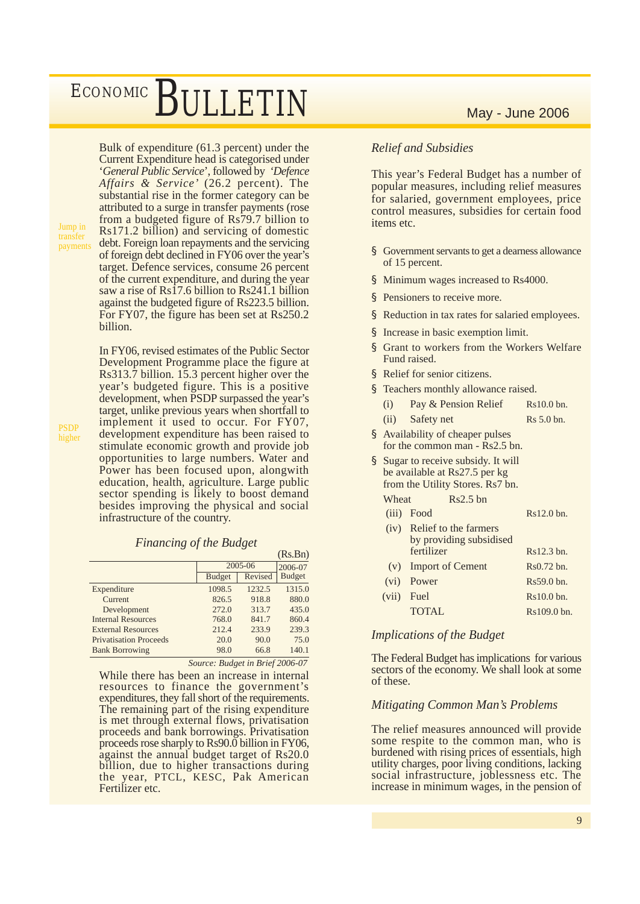Bulk of expenditure (61.3 percent) under the Current Expenditure head is categorised under '*General Public Service*', followed by *'Defence Affairs & Service'* (26.2 percent). The substantial rise in the former category can be attributed to a surge in transfer payments (rose from a budgeted figure of Rs79.7 billion to Rs171.2 billion) and servicing of domestic debt. Foreign loan repayments and the servicing of foreign debt declined in FY06 over the year's target. Defence services, consume 26 percent of the current expenditure, and during the year saw a rise of Rs17.6 billion to Rs241.1 billion against the budgeted figure of Rs223.5 billion. For FY07, the figure has been set at Rs250.2 billion.

In FY06, revised estimates of the Public Sector Development Programme place the figure at Rs313.7 billion. 15.3 percent higher over the year's budgeted figure. This is a positive development, when PSDP surpassed the year's target, unlike previous years when shortfall to implement it used to occur. For FY07, development expenditure has been raised to stimulate economic growth and provide job opportunities to large numbers. Water and Power has been focused upon, alongwith education, health, agriculture. Large public sector spending is likely to boost demand besides improving the physical and social infrastructure of the country.

### *Financing of the Budget*

|                               |               |         | (Rs.Bn)       |
|-------------------------------|---------------|---------|---------------|
|                               | 2005-06       |         | 2006-07       |
|                               | <b>Budget</b> | Revised | <b>Budget</b> |
| Expenditure                   | 1098.5        | 1232.5  | 1315.0        |
| Current                       | 826.5         | 918.8   | 880.0         |
| Development                   | 272.0         | 313.7   | 435.0         |
| <b>Internal Resources</b>     | 768.0         | 841.7   | 860.4         |
| <b>External Resources</b>     | 212.4         | 233.9   | 239.3         |
| <b>Privatisation Proceeds</b> | 20.0          | 90.0    | 75.0          |
| <b>Bank Borrowing</b>         | 98.0          | 66.8    | 140.1         |
|                               |               |         |               |

*Source: Budget in Brief 2006-07*

While there has been an increase in internal resources to finance the government's expenditures, they fall short of the requirements. The remaining part of the rising expenditure is met through external flows, privatisation proceeds and bank borrowings. Privatisation proceeds rose sharply to Rs90.0 billion in FY06, against the annual budget target of Rs20.0 billion, due to higher transactions during the year, PTCL, KESC, Pak American Fertilizer etc.

### *Relief and Subsidies*

This year's Federal Budget has a number of popular measures, including relief measures for salaried, government employees, price control measures, subsidies for certain food items etc.

- § Government servants to get a dearness allowance of 15 percent.
- § Minimum wages increased to Rs4000.
- § Pensioners to receive more.
- § Reduction in tax rates for salaried employees.
- § Increase in basic exemption limit.
- § Grant to workers from the Workers Welfare Fund raised.
- § Relief for senior citizens.
- § Teachers monthly allowance raised.
	- (i) Pay  $&$  Pension Relief Rs10.0 bn.
	- (ii) Safety net Rs 5.0 bn.
- § Availability of cheaper pulses for the common man - Rs2.5 bn.
- § Sugar to receive subsidy. It will be available at Rs27.5 per kg from the Utility Stores. Rs7 bn.

Wheat Rs2.5 bn

| (iii) Food | $Rs12.0$ bn. |
|------------|--------------|
|------------|--------------|

| (iv) | Relief to the farmers<br>by providing subsidised |             |
|------|--------------------------------------------------|-------------|
|      | fertilizer                                       | Rs12.3 bn.  |
|      | (v) Import of Cement                             | Rs0.72 bn.  |
|      | (vi) Power                                       | Rs59.0 bn.  |
|      | (vii) Fuel                                       | Rs10.0 bn.  |
|      | <b>TOTAL</b>                                     | Rs109.0 bn. |

### *Implications of the Budget*

The Federal Budget has implications for various sectors of the economy. We shall look at some of these.

#### *Mitigating Common Man's Problems*

The relief measures announced will provide some respite to the common man, who is burdened with rising prices of essentials, high utility charges, poor living conditions, lacking social infrastructure, joblessness etc. The increase in minimum wages, in the pension of

Jump in transfer payments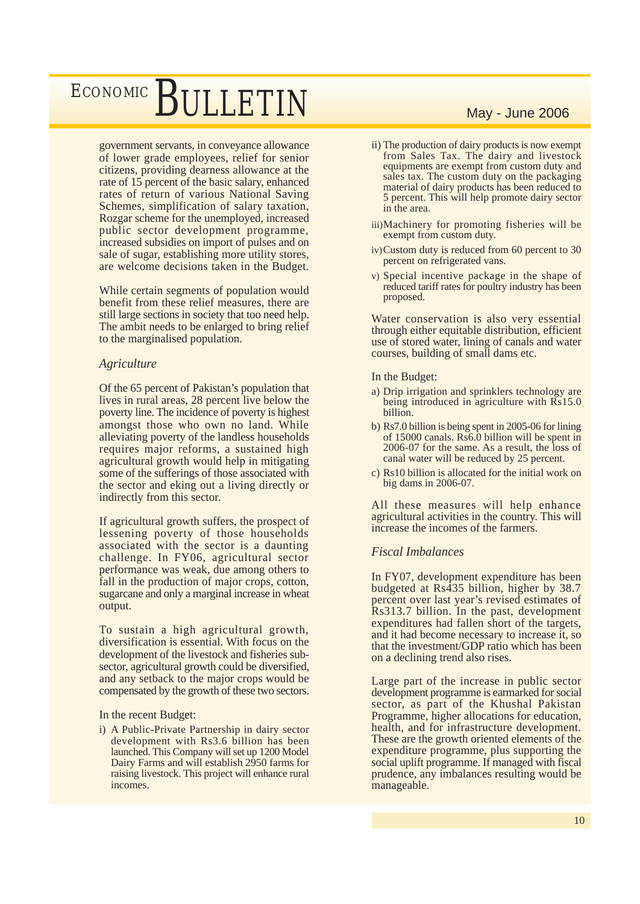government servants, in conveyance allowance of lower grade employees, relief for senior citizens, providing dearness allowance at the rate of 15 percent of the basic salary, enhanced rates of return of various National Saving Schemes, simplification of salary taxation, Rozgar scheme for the unemployed, increased public sector development programme, increased subsidies on import of pulses and on sale of sugar, establishing more utility stores, are welcome decisions taken in the Budget.

While certain segments of population would benefit from these relief measures, there are still large sections in society that too need help. The ambit needs to be enlarged to bring relief to the marginalised population.

### *Agriculture*

Of the 65 percent of Pakistan's population that lives in rural areas, 28 percent live below the poverty line. The incidence of poverty is highest amongst those who own no land. While alleviating poverty of the landless households requires major reforms, a sustained high agricultural growth would help in mitigating some of the sufferings of those associated with the sector and eking out a living directly or indirectly from this sector.

If agricultural growth suffers, the prospect of lessening poverty of those households associated with the sector is a daunting challenge. In FY06, agricultural sector performance was weak, due among others to fall in the production of major crops, cotton, sugarcane and only a marginal increase in wheat output.

To sustain a high agricultural growth, diversification is essential. With focus on the development of the livestock and fisheries subsector, agricultural growth could be diversified, and any setback to the major crops would be compensated by the growth of these two sectors.

In the recent Budget:

i) A Public-Private Partnership in dairy sector development with Rs3.6 billion has been launched. This Company will set up 1200 Model Dairy Farms and will establish 2950 farms for raising livestock. This project will enhance rural incomes.

- ii) The production of dairy products is now exempt from Sales Tax. The dairy and livestock equipments are exempt from custom duty and sales tax. The custom duty on the packaging material of dairy products has been reduced to 5 percent. This will help promote dairy sector in the area.
- iii)Machinery for promoting fisheries will be exempt from custom duty.
- iv)Custom duty is reduced from 60 percent to 30 percent on refrigerated vans.
- v) Special incentive package in the shape of reduced tariff rates for poultry industry has been proposed.

Water conservation is also very essential through either equitable distribution, efficient use of stored water, lining of canals and water courses, building of small dams etc.

In the Budget:

- a) Drip irrigation and sprinklers technology are being introduced in agriculture with Rs15.0 billion.
- b) Rs7.0 billion is being spent in 2005-06 for lining of 15000 canals. Rs6.0 billion will be spent in 2006-07 for the same. As a result, the loss of canal water will be reduced by 25 percent.
- c) Rs10 billion is allocated for the initial work on big dams in 2006-07.

All these measures will help enhance agricultural activities in the country. This will increase the incomes of the farmers.

### *Fiscal Imbalances*

In FY07, development expenditure has been budgeted at Rs435 billion, higher by 38.7 percent over last year's revised estimates of Rs313.7 billion. In the past, development expenditures had fallen short of the targets, and it had become necessary to increase it, so that the investment/GDP ratio which has been on a declining trend also rises.

Large part of the increase in public sector development programme is earmarked for social sector, as part of the Khushal Pakistan Programme, higher allocations for education, health, and for infrastructure development. These are the growth oriented elements of the expenditure programme, plus supporting the social uplift programme. If managed with fiscal prudence, any imbalances resulting would be manageable.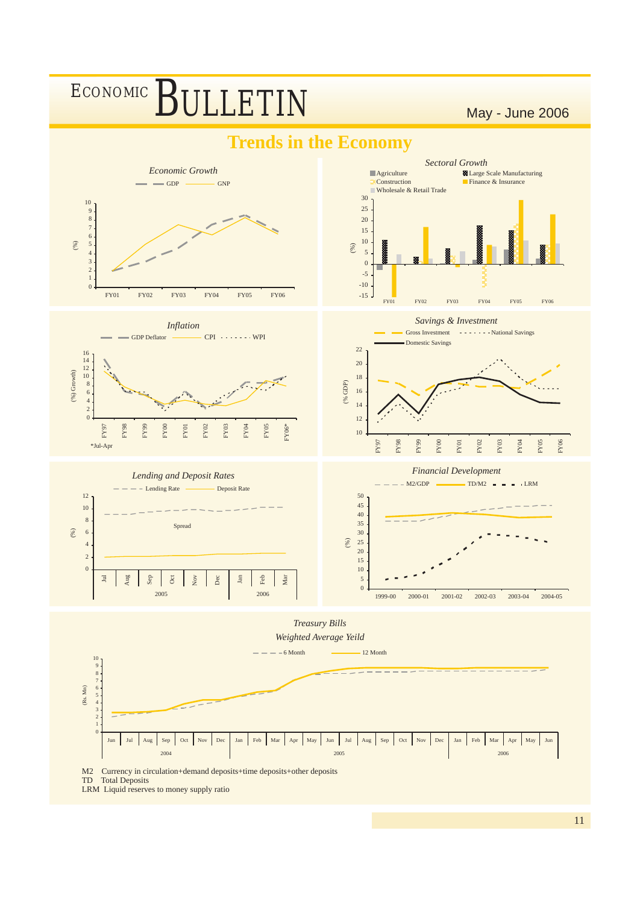

LRM Liquid reserves to money supply ratio

11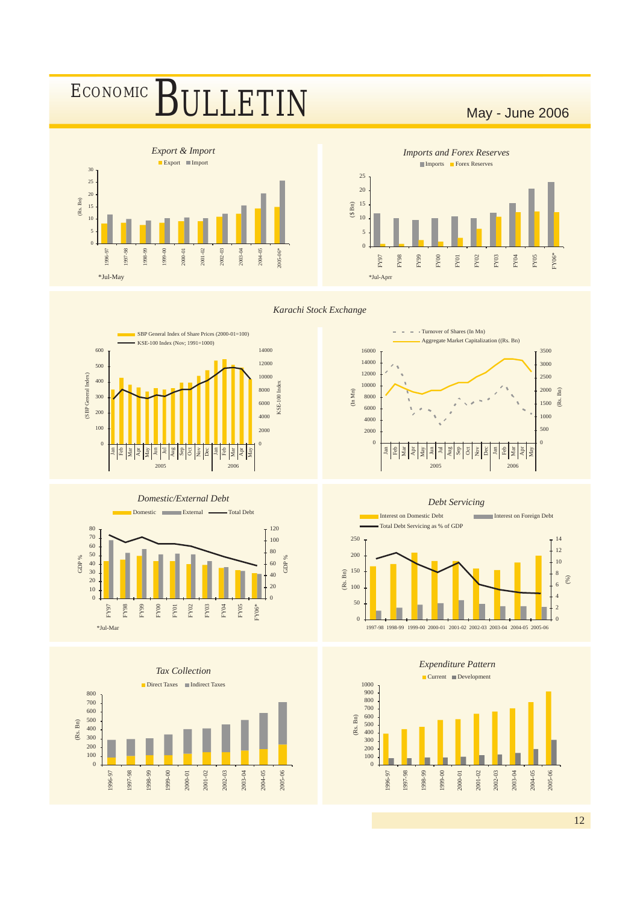



*Imports and Forex Reserves* Imports **Forex Reserves** \*Jul-Aprr  $\Omega$ 5 10 15 20 25 (\$ Bn) FY97 FY98 FY99 FY00 FY01  ${\rm FY02}$ FY03 FY04 FY05 FY06\*

Turnover of Shares (In Mn)

 $\bar{a}$ 

Aggregate Market Capitalization ((Rs. Bn)

*Karachi Stock Exchange*

> Jan  $\frac{2}{\pi}$ Mar Apr May §ا Jul Aug  $\frac{5}{25}$  $\overline{8}$  $\frac{1}{2}$  $\frac{8}{2}$  $\frac{1}{2}$ Mar Apr May

(In Mn)



*Domestic/External Debt*





2005 2006

(Rs. Bn)





*Debt Servicing*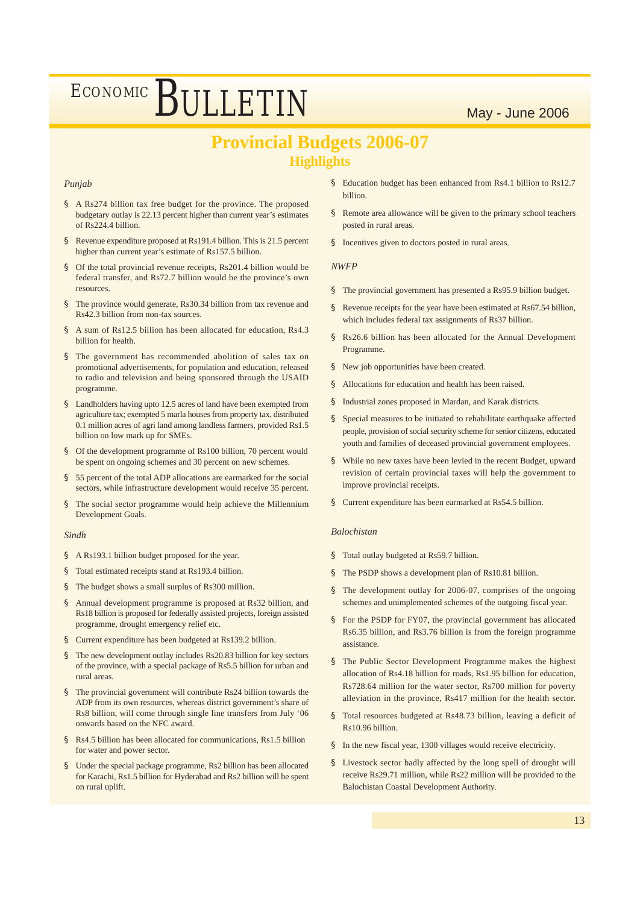### **Provincial Budgets 2006-07 Highlights**

#### *Punjab*

- § A Rs274 billion tax free budget for the province. The proposed budgetary outlay is 22.13 percent higher than current year's estimates of Rs224.4 billion.
- § Revenue expenditure proposed at Rs191.4 billion. This is 21.5 percent higher than current year's estimate of Rs157.5 billion.
- § Of the total provincial revenue receipts, Rs201.4 billion would be federal transfer, and Rs72.7 billion would be the province's own resources.
- § The province would generate, Rs30.34 billion from tax revenue and Rs42.3 billion from non-tax sources.
- § A sum of Rs12.5 billion has been allocated for education, Rs4.3 billion for health.
- § The government has recommended abolition of sales tax on promotional advertisements, for population and education, released to radio and television and being sponsored through the USAID programme.
- § Landholders having upto 12.5 acres of land have been exempted from agriculture tax; exempted 5 marla houses from property tax, distributed 0.1 million acres of agri land among landless farmers, provided Rs1.5 billion on low mark up for SMEs.
- § Of the development programme of Rs100 billion, 70 percent would be spent on ongoing schemes and 30 percent on new schemes.
- § 55 percent of the total ADP allocations are earmarked for the social sectors, while infrastructure development would receive 35 percent.
- § The social sector programme would help achieve the Millennium Development Goals.

#### *Sindh*

- § A Rs193.1 billion budget proposed for the year.
- § Total estimated receipts stand at Rs193.4 billion.
- § The budget shows a small surplus of Rs300 million.
- § Annual development programme is proposed at Rs32 billion, and Rs18 billion is proposed for federally assisted projects, foreign assisted programme, drought emergency relief etc.
- § Current expenditure has been budgeted at Rs139.2 billion.
- The new development outlay includes Rs20.83 billion for key sectors of the province, with a special package of Rs5.5 billion for urban and rural areas.
- § The provincial government will contribute Rs24 billion towards the ADP from its own resources, whereas district government's share of Rs8 billion, will come through single line transfers from July '06 onwards based on the NFC award.
- § Rs4.5 billion has been allocated for communications, Rs1.5 billion for water and power sector.
- § Under the special package programme, Rs2 billion has been allocated for Karachi, Rs1.5 billion for Hyderabad and Rs2 billion will be spent on rural uplift.
- § Education budget has been enhanced from Rs4.1 billion to Rs12.7 billion.
- § Remote area allowance will be given to the primary school teachers posted in rural areas.
- § Incentives given to doctors posted in rural areas.

#### *NWFP*

- § The provincial government has presented a Rs95.9 billion budget.
- Revenue receipts for the year have been estimated at Rs67.54 billion, which includes federal tax assignments of Rs37 billion.
- § Rs26.6 billion has been allocated for the Annual Development Programme.
- § New job opportunities have been created.
- § Allocations for education and health has been raised.
- § Industrial zones proposed in Mardan, and Karak districts.
- § Special measures to be initiated to rehabilitate earthquake affected people, provision of social security scheme for senior citizens, educated youth and families of deceased provincial government employees.
- § While no new taxes have been levied in the recent Budget, upward revision of certain provincial taxes will help the government to improve provincial receipts.
- § Current expenditure has been earmarked at Rs54.5 billion.

#### *Balochistan*

- § Total outlay budgeted at Rs59.7 billion.
- § The PSDP shows a development plan of Rs10.81 billion.
- § The development outlay for 2006-07, comprises of the ongoing schemes and unimplemented schemes of the outgoing fiscal year.
- § For the PSDP for FY07, the provincial government has allocated Rs6.35 billion, and Rs3.76 billion is from the foreign programme assistance.
- § The Public Sector Development Programme makes the highest allocation of Rs4.18 billion for roads, Rs1.95 billion for education, Rs728.64 million for the water sector, Rs700 million for poverty alleviation in the province, Rs417 million for the health sector.
- § Total resources budgeted at Rs48.73 billion, leaving a deficit of Rs10.96 billion.
- § In the new fiscal year, 1300 villages would receive electricity.
- § Livestock sector badly affected by the long spell of drought will receive Rs29.71 million, while Rs22 million will be provided to the Balochistan Coastal Development Authority.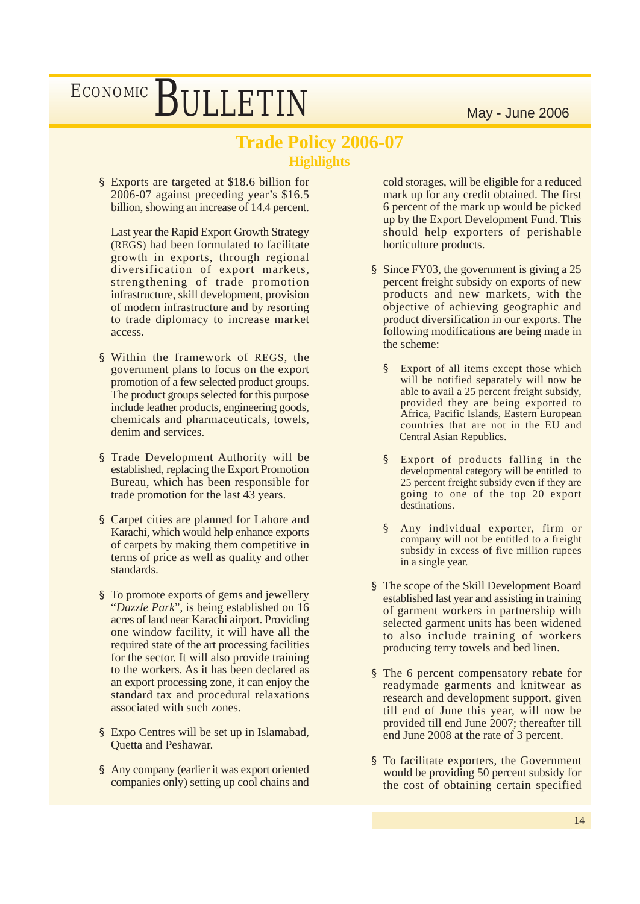### **Trade Policy 2006-07 Highlights**

§ Exports are targeted at \$18.6 billion for 2006-07 against preceding year's \$16.5 billion, showing an increase of 14.4 percent.

Last year the Rapid Export Growth Strategy (REGS) had been formulated to facilitate growth in exports, through regional diversification of export markets, strengthening of trade promotion infrastructure, skill development, provision of modern infrastructure and by resorting to trade diplomacy to increase market access.

- § Within the framework of REGS, the government plans to focus on the export promotion of a few selected product groups. The product groups selected for this purpose include leather products, engineering goods, chemicals and pharmaceuticals, towels, denim and services.
- § Trade Development Authority will be established, replacing the Export Promotion Bureau, which has been responsible for trade promotion for the last 43 years.
- § Carpet cities are planned for Lahore and Karachi, which would help enhance exports of carpets by making them competitive in terms of price as well as quality and other standards.
- § To promote exports of gems and jewellery "*Dazzle Park*", is being established on 16 acres of land near Karachi airport. Providing one window facility, it will have all the required state of the art processing facilities for the sector. It will also provide training to the workers. As it has been declared as an export processing zone, it can enjoy the standard tax and procedural relaxations associated with such zones.
- § Expo Centres will be set up in Islamabad, Quetta and Peshawar.
- § Any company (earlier it was export oriented companies only) setting up cool chains and

cold storages, will be eligible for a reduced mark up for any credit obtained. The first 6 percent of the mark up would be picked up by the Export Development Fund. This should help exporters of perishable horticulture products.

- § Since FY03, the government is giving a 25 percent freight subsidy on exports of new products and new markets, with the objective of achieving geographic and product diversification in our exports. The following modifications are being made in the scheme:
	- § Export of all items except those which will be notified separately will now be able to avail a 25 percent freight subsidy, provided they are being exported to Africa, Pacific Islands, Eastern European countries that are not in the EU and Central Asian Republics.
	- § Export of products falling in the developmental category will be entitled to 25 percent freight subsidy even if they are going to one of the top 20 export destinations.
	- § Any individual exporter, firm or company will not be entitled to a freight subsidy in excess of five million rupees in a single year.
- § The scope of the Skill Development Board established last year and assisting in training of garment workers in partnership with selected garment units has been widened to also include training of workers producing terry towels and bed linen.
- § The 6 percent compensatory rebate for readymade garments and knitwear as research and development support, given till end of June this year, will now be provided till end June 2007; thereafter till end June 2008 at the rate of 3 percent.
- § To facilitate exporters, the Government would be providing 50 percent subsidy for the cost of obtaining certain specified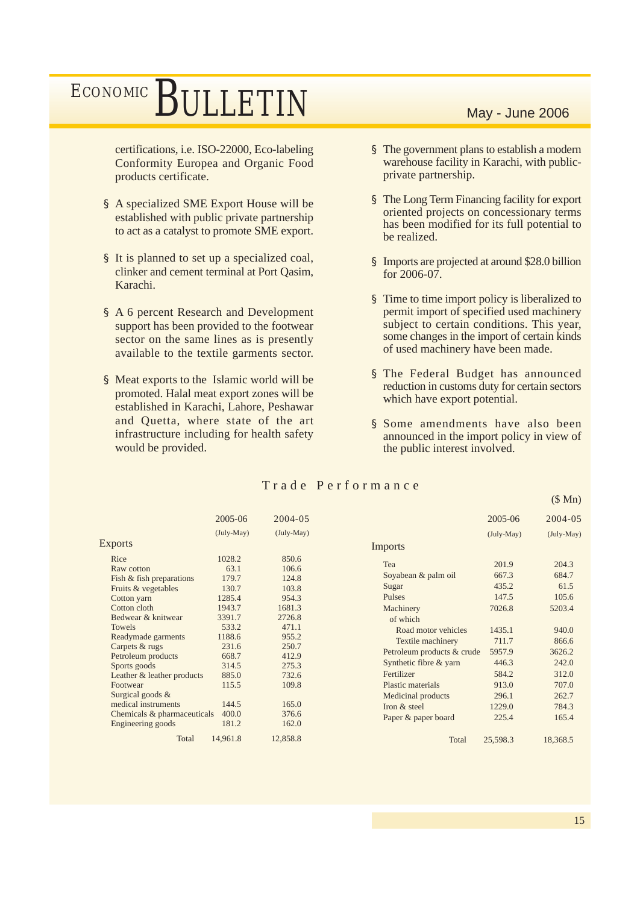certifications, i.e. ISO-22000, Eco-labeling Conformity Europea and Organic Food products certificate.

- § A specialized SME Export House will be established with public private partnership to act as a catalyst to promote SME export.
- § It is planned to set up a specialized coal, clinker and cement terminal at Port Qasim, Karachi.
- § A 6 percent Research and Development support has been provided to the footwear sector on the same lines as is presently available to the textile garments sector.
- § Meat exports to the Islamic world will be promoted. Halal meat export zones will be established in Karachi, Lahore, Peshawar and Quetta, where state of the art infrastructure including for health safety would be provided.

- § The government plans to establish a modern warehouse facility in Karachi, with publicprivate partnership.
- § The Long Term Financing facility for export oriented projects on concessionary terms has been modified for its full potential to be realized.
- § Imports are projected at around \$28.0 billion for 2006-07.
- § Time to time import policy is liberalized to permit import of specified used machinery subject to certain conditions. This year, some changes in the import of certain kinds of used machinery have been made.
- § The Federal Budget has announced reduction in customs duty for certain sectors which have export potential.
- § Some amendments have also been announced in the import policy in view of the public interest involved.

|                                                                                                                                                                                                                                                                     | 2005-06                                                                                                                        | 2004-05                                                                                                                      |                                                                                                                                                                                                               | 2005-06                                                                                            | 2004-05                                                                                          |
|---------------------------------------------------------------------------------------------------------------------------------------------------------------------------------------------------------------------------------------------------------------------|--------------------------------------------------------------------------------------------------------------------------------|------------------------------------------------------------------------------------------------------------------------------|---------------------------------------------------------------------------------------------------------------------------------------------------------------------------------------------------------------|----------------------------------------------------------------------------------------------------|--------------------------------------------------------------------------------------------------|
|                                                                                                                                                                                                                                                                     | $(July-May)$                                                                                                                   | $(July-May)$                                                                                                                 |                                                                                                                                                                                                               | $(July-May)$                                                                                       | (July-May)                                                                                       |
| <b>Exports</b>                                                                                                                                                                                                                                                      |                                                                                                                                |                                                                                                                              | Imports                                                                                                                                                                                                       |                                                                                                    |                                                                                                  |
| Rice<br>Raw cotton<br>Fish & fish preparations<br>Fruits & vegetables<br>Cotton yarn<br>Cotton cloth<br>Bedwear & knitwear<br><b>Towels</b><br>Readymade garments<br>Carpets & rugs<br>Petroleum products<br>Sports goods<br>Leather & leather products<br>Footwear | 1028.2<br>63.1<br>179.7<br>130.7<br>1285.4<br>1943.7<br>3391.7<br>533.2<br>1188.6<br>231.6<br>668.7<br>314.5<br>885.0<br>115.5 | 850.6<br>106.6<br>124.8<br>103.8<br>954.3<br>1681.3<br>2726.8<br>471.1<br>955.2<br>250.7<br>412.9<br>275.3<br>732.6<br>109.8 | Tea<br>Soyabean & palm oil<br>Sugar<br>Pulses<br>Machinery<br>of which<br>Road motor vehicles<br>Textile machinery<br>Petroleum products & crude<br>Synthetic fibre & yarn<br>Fertilizer<br>Plastic materials | 201.9<br>667.3<br>435.2<br>147.5<br>7026.8<br>1435.1<br>711.7<br>5957.9<br>446.3<br>584.2<br>913.0 | 204.3<br>684.7<br>61.5<br>105.6<br>5203.4<br>940.0<br>866.6<br>3626.2<br>242.0<br>312.0<br>707.0 |
| Surgical goods $&$                                                                                                                                                                                                                                                  |                                                                                                                                |                                                                                                                              | Medicinal products                                                                                                                                                                                            | 296.1                                                                                              | 262.7                                                                                            |
| medical instruments                                                                                                                                                                                                                                                 | 144.5                                                                                                                          | 165.0                                                                                                                        | Iron & steel                                                                                                                                                                                                  | 1229.0                                                                                             | 784.3                                                                                            |
| Chemicals & pharmaceuticals                                                                                                                                                                                                                                         | 400.0                                                                                                                          | 376.6                                                                                                                        | Paper & paper board                                                                                                                                                                                           | 225.4                                                                                              | 165.4                                                                                            |
| Engineering goods                                                                                                                                                                                                                                                   | 181.2                                                                                                                          | 162.0                                                                                                                        |                                                                                                                                                                                                               |                                                                                                    |                                                                                                  |
| Total                                                                                                                                                                                                                                                               | 14,961.8                                                                                                                       | 12,858.8                                                                                                                     | Total                                                                                                                                                                                                         | 25,598.3                                                                                           | 18,368.5                                                                                         |

### Trade Performance

(\$ Mn)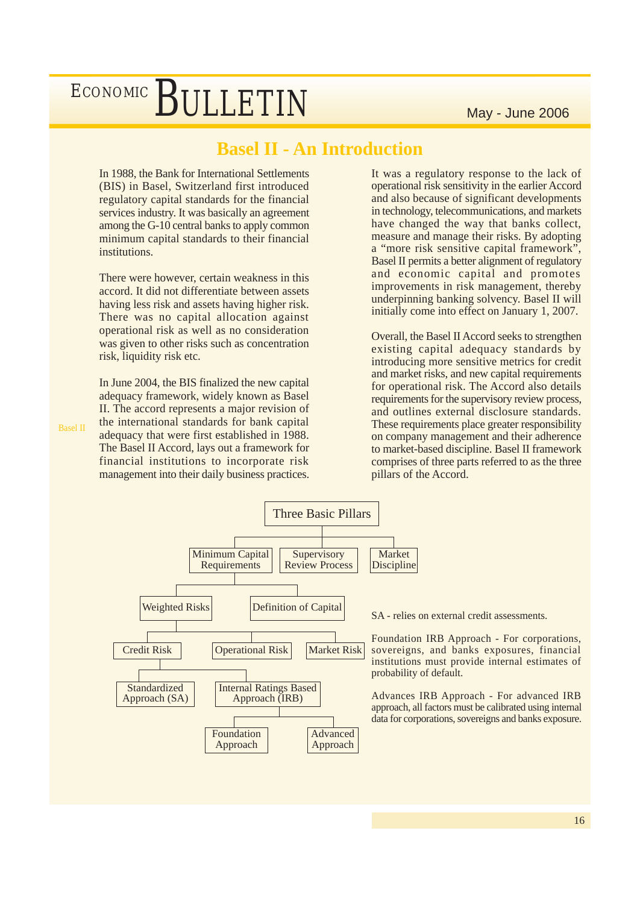### **Basel II - An Introduction**

In 1988, the Bank for International Settlements (BIS) in Basel, Switzerland first introduced regulatory capital standards for the financial services industry. It was basically an agreement among the G-10 central banks to apply common minimum capital standards to their financial **institutions** 

There were however, certain weakness in this accord. It did not differentiate between assets having less risk and assets having higher risk. There was no capital allocation against operational risk as well as no consideration was given to other risks such as concentration risk, liquidity risk etc.

In June 2004, the BIS finalized the new capital adequacy framework, widely known as Basel II. The accord represents a major revision of the international standards for bank capital adequacy that were first established in 1988. The Basel II Accord, lays out a framework for financial institutions to incorporate risk management into their daily business practices. It was a regulatory response to the lack of operational risk sensitivity in the earlier Accord and also because of significant developments in technology, telecommunications, and markets have changed the way that banks collect, measure and manage their risks. By adopting a "more risk sensitive capital framework", Basel II permits a better alignment of regulatory and economic capital and promotes improvements in risk management, thereby underpinning banking solvency. Basel II will initially come into effect on January 1, 2007.

Overall, the Basel II Accord seeks to strengthen existing capital adequacy standards by introducing more sensitive metrics for credit and market risks, and new capital requirements for operational risk. The Accord also details requirements for the supervisory review process, and outlines external disclosure standards. These requirements place greater responsibility on company management and their adherence to market-based discipline. Basel II framework comprises of three parts referred to as the three pillars of the Accord.



SA - relies on external credit assessments.

Foundation IRB Approach - For corporations, sovereigns, and banks exposures, financial institutions must provide internal estimates of probability of default.

Advances IRB Approach - For advanced IRB approach, all factors must be calibrated using internal data for corporations, sovereigns and banks exposure.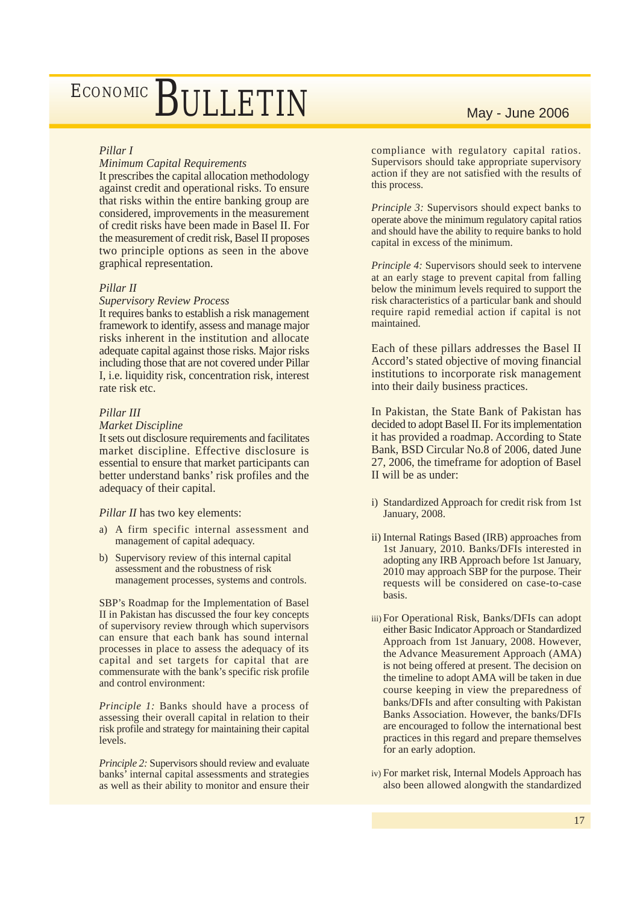### *Pillar I*

#### *Minimum Capital Requirements*

It prescribes the capital allocation methodology against credit and operational risks. To ensure that risks within the entire banking group are considered, improvements in the measurement of credit risks have been made in Basel II. For the measurement of credit risk, Basel II proposes two principle options as seen in the above graphical representation.

#### *Pillar II*

#### *Supervisory Review Process*

It requires banks to establish a risk management framework to identify, assess and manage major risks inherent in the institution and allocate adequate capital against those risks. Major risks including those that are not covered under Pillar I, i.e. liquidity risk, concentration risk, interest rate risk etc.

#### *Pillar III*

#### *Market Discipline*

It sets out disclosure requirements and facilitates market discipline. Effective disclosure is essential to ensure that market participants can better understand banks' risk profiles and the adequacy of their capital.

#### *Pillar II* has two key elements:

- a) A firm specific internal assessment and management of capital adequacy.
- b) Supervisory review of this internal capital assessment and the robustness of risk management processes, systems and controls.

SBP's Roadmap for the Implementation of Basel II in Pakistan has discussed the four key concepts of supervisory review through which supervisors can ensure that each bank has sound internal processes in place to assess the adequacy of its capital and set targets for capital that are commensurate with the bank's specific risk profile and control environment:

*Principle 1:* Banks should have a process of assessing their overall capital in relation to their risk profile and strategy for maintaining their capital levels.

*Principle 2:* Supervisors should review and evaluate banks' internal capital assessments and strategies as well as their ability to monitor and ensure their

compliance with regulatory capital ratios. Supervisors should take appropriate supervisory action if they are not satisfied with the results of this process.

*Principle 3:* Supervisors should expect banks to operate above the minimum regulatory capital ratios and should have the ability to require banks to hold capital in excess of the minimum.

*Principle 4:* Supervisors should seek to intervene at an early stage to prevent capital from falling below the minimum levels required to support the risk characteristics of a particular bank and should require rapid remedial action if capital is not maintained.

Each of these pillars addresses the Basel II Accord's stated objective of moving financial institutions to incorporate risk management into their daily business practices.

In Pakistan, the State Bank of Pakistan has decided to adopt Basel II. For its implementation it has provided a roadmap. According to State Bank, BSD Circular No.8 of 2006, dated June 27, 2006, the timeframe for adoption of Basel II will be as under:

- i) Standardized Approach for credit risk from 1st January, 2008.
- ii) Internal Ratings Based (IRB) approaches from 1st January, 2010. Banks/DFIs interested in adopting any IRB Approach before 1st January, 2010 may approach SBP for the purpose. Their requests will be considered on case-to-case basis.
- iii)For Operational Risk, Banks/DFIs can adopt either Basic Indicator Approach or Standardized Approach from 1st January, 2008. However, the Advance Measurement Approach (AMA) is not being offered at present. The decision on the timeline to adopt AMA will be taken in due course keeping in view the preparedness of banks/DFIs and after consulting with Pakistan Banks Association. However, the banks/DFIs are encouraged to follow the international best practices in this regard and prepare themselves for an early adoption.
- iv)For market risk, Internal Models Approach has also been allowed alongwith the standardized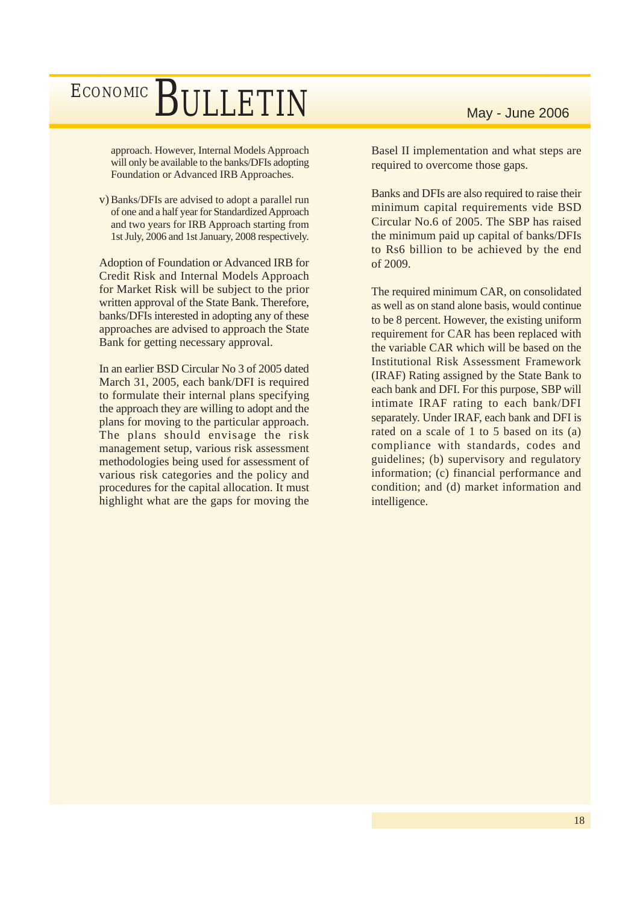approach. However, Internal Models Approach will only be available to the banks/DFIs adopting Foundation or Advanced IRB Approaches.

v) Banks/DFIs are advised to adopt a parallel run of one and a half year for Standardized Approach and two years for IRB Approach starting from 1st July, 2006 and 1st January, 2008 respectively.

Adoption of Foundation or Advanced IRB for Credit Risk and Internal Models Approach for Market Risk will be subject to the prior written approval of the State Bank. Therefore, banks/DFIs interested in adopting any of these approaches are advised to approach the State Bank for getting necessary approval.

In an earlier BSD Circular No 3 of 2005 dated March 31, 2005, each bank/DFI is required to formulate their internal plans specifying the approach they are willing to adopt and the plans for moving to the particular approach. The plans should envisage the risk management setup, various risk assessment methodologies being used for assessment of various risk categories and the policy and procedures for the capital allocation. It must highlight what are the gaps for moving the

Basel II implementation and what steps are required to overcome those gaps.

Banks and DFIs are also required to raise their minimum capital requirements vide BSD Circular No.6 of 2005. The SBP has raised the minimum paid up capital of banks/DFIs to Rs6 billion to be achieved by the end of 2009.

The required minimum CAR, on consolidated as well as on stand alone basis, would continue to be 8 percent. However, the existing uniform requirement for CAR has been replaced with the variable CAR which will be based on the Institutional Risk Assessment Framework (IRAF) Rating assigned by the State Bank to each bank and DFI. For this purpose, SBP will intimate IRAF rating to each bank/DFI separately. Under IRAF, each bank and DFI is rated on a scale of 1 to 5 based on its (a) compliance with standards, codes and guidelines; (b) supervisory and regulatory information; (c) financial performance and condition; and (d) market information and intelligence.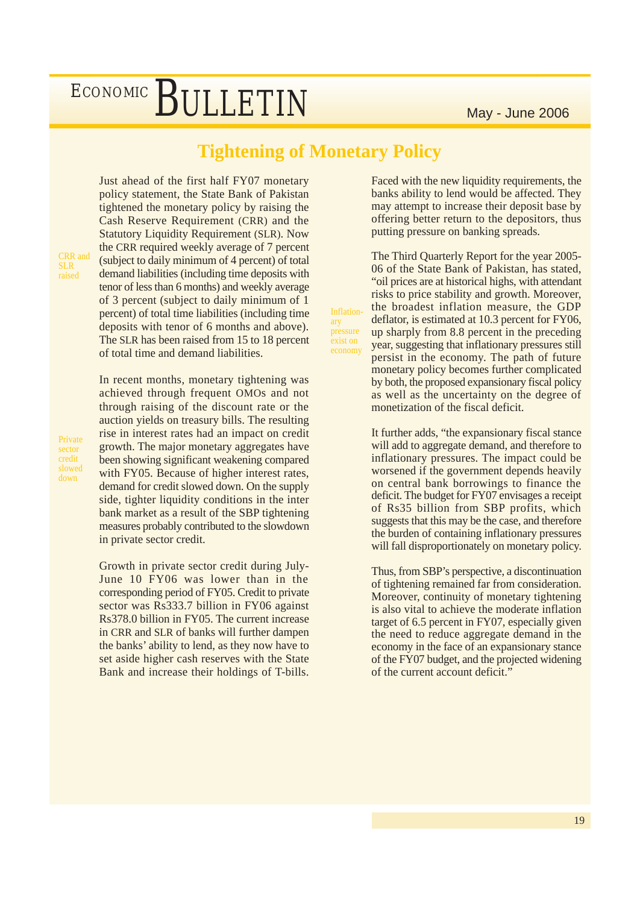### **Tightening of Monetary Policy**

**Inflation**ary pressure exist on

Just ahead of the first half FY07 monetary policy statement, the State Bank of Pakistan tightened the monetary policy by raising the Cash Reserve Requirement (CRR) and the Statutory Liquidity Requirement (SLR). Now the CRR required weekly average of 7 percent (subject to daily minimum of 4 percent) of total demand liabilities (including time deposits with tenor of less than 6 months) and weekly average of 3 percent (subject to daily minimum of 1 percent) of total time liabilities (including time deposits with tenor of 6 months and above). The SLR has been raised from 15 to 18 percent

CRR and SLR raised

Private sector credit slowed down

of total time and demand liabilities.

In recent months, monetary tightening was achieved through frequent OMOs and not through raising of the discount rate or the auction yields on treasury bills. The resulting rise in interest rates had an impact on credit growth. The major monetary aggregates have been showing significant weakening compared with FY05. Because of higher interest rates, demand for credit slowed down. On the supply side, tighter liquidity conditions in the inter bank market as a result of the SBP tightening measures probably contributed to the slowdown

Growth in private sector credit during July-June 10 FY06 was lower than in the corresponding period of FY05. Credit to private sector was Rs333.7 billion in FY06 against Rs378.0 billion in FY05. The current increase in CRR and SLR of banks will further dampen the banks' ability to lend, as they now have to set aside higher cash reserves with the State Bank and increase their holdings of T-bills.

in private sector credit.

Faced with the new liquidity requirements, the banks ability to lend would be affected. They may attempt to increase their deposit base by offering better return to the depositors, thus putting pressure on banking spreads.

The Third Quarterly Report for the year 2005- 06 of the State Bank of Pakistan, has stated, "oil prices are at historical highs, with attendant risks to price stability and growth. Moreover, the broadest inflation measure, the GDP deflator, is estimated at 10.3 percent for FY06, up sharply from 8.8 percent in the preceding year, suggesting that inflationary pressures still persist in the economy. The path of future monetary policy becomes further complicated by both, the proposed expansionary fiscal policy as well as the uncertainty on the degree of monetization of the fiscal deficit.

It further adds, "the expansionary fiscal stance will add to aggregate demand, and therefore to inflationary pressures. The impact could be worsened if the government depends heavily on central bank borrowings to finance the deficit. The budget for FY07 envisages a receipt of Rs35 billion from SBP profits, which suggests that this may be the case, and therefore the burden of containing inflationary pressures will fall disproportionately on monetary policy.

Thus, from SBP's perspective, a discontinuation of tightening remained far from consideration. Moreover, continuity of monetary tightening is also vital to achieve the moderate inflation target of 6.5 percent in FY07, especially given the need to reduce aggregate demand in the economy in the face of an expansionary stance of the FY07 budget, and the projected widening of the current account deficit."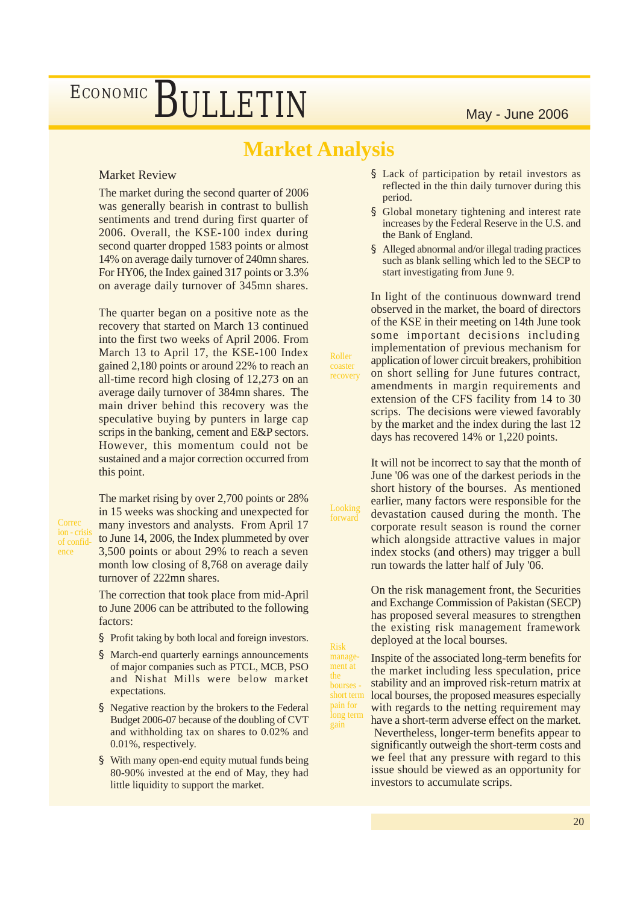### **Market Analysis**

Roller coaster recovery

Looking forward

Risk management at

short term pain for

gain

### Market Review

The market during the second quarter of 2006 was generally bearish in contrast to bullish sentiments and trend during first quarter of 2006. Overall, the KSE-100 index during second quarter dropped 1583 points or almost 14% on average daily turnover of 240mn shares. For HY06, the Index gained 317 points or 3.3% on average daily turnover of 345mn shares.

The quarter began on a positive note as the recovery that started on March 13 continued into the first two weeks of April 2006. From March 13 to April 17, the KSE-100 Index gained 2,180 points or around 22% to reach an all-time record high closing of 12,273 on an average daily turnover of 384mn shares. The main driver behind this recovery was the speculative buying by punters in large cap scrips in the banking, cement and E&P sectors. However, this momentum could not be sustained and a major correction occurred from this point.

Correc ion - crisi of confidence

The market rising by over 2,700 points or 28% in 15 weeks was shocking and unexpected for many investors and analysts. From April 17 to June 14, 2006, the Index plummeted by over 3,500 points or about 29% to reach a seven month low closing of 8,768 on average daily turnover of 222mn shares.

The correction that took place from mid-April to June 2006 can be attributed to the following factors:

- § Profit taking by both local and foreign investors.
- § March-end quarterly earnings announcements of major companies such as PTCL, MCB, PSO and Nishat Mills were below market expectations.
- § Negative reaction by the brokers to the Federal Budget 2006-07 because of the doubling of CVT and withholding tax on shares to 0.02% and 0.01%, respectively.
- § With many open-end equity mutual funds being 80-90% invested at the end of May, they had little liquidity to support the market.
- § Lack of participation by retail investors as reflected in the thin daily turnover during this period.
- § Global monetary tightening and interest rate increases by the Federal Reserve in the U.S. and the Bank of England.
- § Alleged abnormal and/or illegal trading practices such as blank selling which led to the SECP to start investigating from June 9.

In light of the continuous downward trend observed in the market, the board of directors of the KSE in their meeting on 14th June took some important decisions including implementation of previous mechanism for application of lower circuit breakers, prohibition on short selling for June futures contract, amendments in margin requirements and extension of the CFS facility from 14 to 30 scrips. The decisions were viewed favorably by the market and the index during the last 12 days has recovered 14% or 1,220 points.

It will not be incorrect to say that the month of June '06 was one of the darkest periods in the short history of the bourses. As mentioned earlier, many factors were responsible for the devastation caused during the month. The corporate result season is round the corner which alongside attractive values in major index stocks (and others) may trigger a bull run towards the latter half of July '06.

On the risk management front, the Securities and Exchange Commission of Pakistan (SECP) has proposed several measures to strengthen the existing risk management framework deployed at the local bourses.

Inspite of the associated long-term benefits for the market including less speculation, price stability and an improved risk-return matrix at local bourses, the proposed measures especially with regards to the netting requirement may have a short-term adverse effect on the market. Nevertheless, longer-term benefits appear to significantly outweigh the short-term costs and we feel that any pressure with regard to this issue should be viewed as an opportunity for investors to accumulate scrips. long term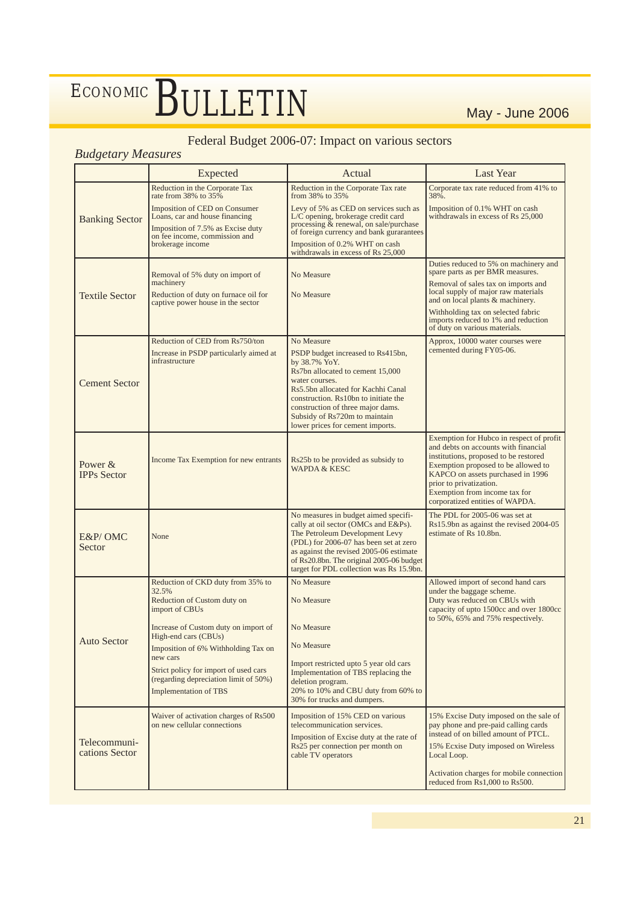### Federal Budget 2006-07: Impact on various sectors

### *Budgetary Measures*

|                               | Expected<br>Actual                                                                                                                                        |                                                                                                                                                                                                                                            | <b>Last Year</b>                                                                                                                                                                                                                                         |  |
|-------------------------------|-----------------------------------------------------------------------------------------------------------------------------------------------------------|--------------------------------------------------------------------------------------------------------------------------------------------------------------------------------------------------------------------------------------------|----------------------------------------------------------------------------------------------------------------------------------------------------------------------------------------------------------------------------------------------------------|--|
|                               | Reduction in the Corporate Tax<br>rate from 38% to 35%                                                                                                    | Reduction in the Corporate Tax rate<br>from 38% to 35%                                                                                                                                                                                     | Corporate tax rate reduced from 41% to<br>38%.                                                                                                                                                                                                           |  |
| <b>Banking Sector</b>         | Imposition of CED on Consumer<br>Loans, car and house financing<br>Imposition of 7.5% as Excise duty<br>on fee income, commission and<br>brokerage income | Levy of 5% as CED on services such as<br>L/C opening, brokerage credit card<br>processing & renewal, on sale/purchase<br>of foreign currency and bank gurarantees<br>Imposition of 0.2% WHT on cash<br>withdrawals in excess of Rs 25,000  | Imposition of 0.1% WHT on cash<br>withdrawals in excess of Rs 25,000                                                                                                                                                                                     |  |
|                               |                                                                                                                                                           |                                                                                                                                                                                                                                            | Duties reduced to 5% on machinery and                                                                                                                                                                                                                    |  |
|                               | Removal of 5% duty on import of<br>machinery                                                                                                              | No Measure                                                                                                                                                                                                                                 | spare parts as per BMR measures.<br>Removal of sales tax on imports and                                                                                                                                                                                  |  |
| <b>Textile Sector</b>         | Reduction of duty on furnace oil for<br>captive power house in the sector                                                                                 | No Measure                                                                                                                                                                                                                                 | local supply of major raw materials<br>and on local plants & machinery.                                                                                                                                                                                  |  |
|                               |                                                                                                                                                           |                                                                                                                                                                                                                                            | Withholding tax on selected fabric<br>imports reduced to 1% and reduction<br>of duty on various materials.                                                                                                                                               |  |
|                               | Reduction of CED from Rs750/ton                                                                                                                           | No Measure                                                                                                                                                                                                                                 | Approx, 10000 water courses were<br>cemented during FY05-06.                                                                                                                                                                                             |  |
|                               | Increase in PSDP particularly aimed at<br>infrastructure                                                                                                  | PSDP budget increased to Rs415bn,<br>by 38.7% YoY.                                                                                                                                                                                         |                                                                                                                                                                                                                                                          |  |
| <b>Cement Sector</b>          |                                                                                                                                                           | Rs7bn allocated to cement 15,000<br>water courses.<br>Rs5.5bn allocated for Kachhi Canal<br>construction. Rs10bn to initiate the<br>construction of three major dams.<br>Subsidy of Rs720m to maintain<br>lower prices for cement imports. |                                                                                                                                                                                                                                                          |  |
|                               |                                                                                                                                                           |                                                                                                                                                                                                                                            | Exemption for Hubco in respect of profit                                                                                                                                                                                                                 |  |
| Power &<br><b>IPPs Sector</b> | Income Tax Exemption for new entrants                                                                                                                     | Rs25b to be provided as subsidy to<br><b>WAPDA &amp; KESC</b>                                                                                                                                                                              | and debts on accounts with financial<br>institutions, proposed to be restored<br>Exemption proposed to be allowed to<br>KAPCO on assets purchased in 1996<br>prior to privatization.<br>Exemption from income tax for<br>corporatized entities of WAPDA. |  |
|                               |                                                                                                                                                           | No measures in budget aimed specifi-<br>cally at oil sector (OMCs and E&Ps).                                                                                                                                                               | The PDL for 2005-06 was set at<br>Rs15.9bn as against the revised 2004-05                                                                                                                                                                                |  |
| E&P/OMC                       | None                                                                                                                                                      | The Petroleum Development Levy<br>(PDL) for 2006-07 has been set at zero                                                                                                                                                                   | estimate of Rs 10.8bn.                                                                                                                                                                                                                                   |  |
| Sector                        |                                                                                                                                                           | as against the revised 2005-06 estimate<br>of Rs20.8bn. The original 2005-06 budget<br>target for PDL collection was Rs 15.9bn.                                                                                                            |                                                                                                                                                                                                                                                          |  |
|                               | Reduction of CKD duty from 35% to<br>32.5%                                                                                                                | No Measure                                                                                                                                                                                                                                 | Allowed import of second hand cars<br>under the baggage scheme.                                                                                                                                                                                          |  |
|                               | Reduction of Custom duty on<br>import of CBUs                                                                                                             | No Measure                                                                                                                                                                                                                                 | Duty was reduced on CBUs with<br>capacity of upto 1500cc and over 1800cc                                                                                                                                                                                 |  |
|                               | Increase of Custom duty on import of<br>High-end cars (CBUs)                                                                                              | No Measure                                                                                                                                                                                                                                 | to 50%, 65% and 75% respectively.                                                                                                                                                                                                                        |  |
| <b>Auto Sector</b>            | Imposition of 6% Withholding Tax on                                                                                                                       | No Measure                                                                                                                                                                                                                                 |                                                                                                                                                                                                                                                          |  |
|                               | new cars<br>Strict policy for import of used cars                                                                                                         | Import restricted upto 5 year old cars<br>Implementation of TBS replacing the                                                                                                                                                              |                                                                                                                                                                                                                                                          |  |
|                               | (regarding depreciation limit of 50%)<br><b>Implementation of TBS</b>                                                                                     | deletion program.<br>20% to 10% and CBU duty from 60% to<br>30% for trucks and dumpers.                                                                                                                                                    |                                                                                                                                                                                                                                                          |  |
|                               | Waiver of activation charges of Rs500<br>on new cellular connections                                                                                      | Imposition of 15% CED on various<br>telecommunication services.                                                                                                                                                                            | 15% Excise Duty imposed on the sale of                                                                                                                                                                                                                   |  |
| Telecommuni-                  |                                                                                                                                                           | Imposition of Excise duty at the rate of                                                                                                                                                                                                   | pay phone and pre-paid calling cards<br>instead of on billed amount of PTCL.                                                                                                                                                                             |  |
| cations Sector                |                                                                                                                                                           | Rs25 per connection per month on<br>cable TV operators                                                                                                                                                                                     | 15% Ecxise Duty imposed on Wireless<br>Local Loop.                                                                                                                                                                                                       |  |
|                               |                                                                                                                                                           |                                                                                                                                                                                                                                            | Activation charges for mobile connection<br>reduced from Rs1,000 to Rs500.                                                                                                                                                                               |  |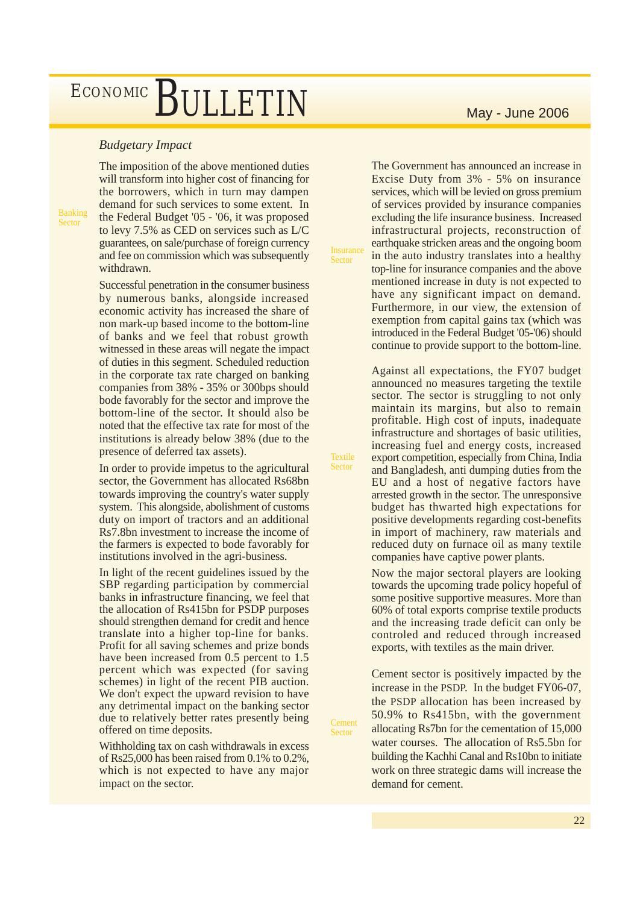### *Budgetary Impact*

Banking Sector

The imposition of the above mentioned duties will transform into higher cost of financing for the borrowers, which in turn may dampen demand for such services to some extent. In the Federal Budget '05 - '06, it was proposed to levy 7.5% as CED on services such as L/C guarantees, on sale/purchase of foreign currency and fee on commission which was subsequently withdrawn.

Successful penetration in the consumer business by numerous banks, alongside increased economic activity has increased the share of non mark-up based income to the bottom-line of banks and we feel that robust growth witnessed in these areas will negate the impact of duties in this segment. Scheduled reduction in the corporate tax rate charged on banking companies from 38% - 35% or 300bps should bode favorably for the sector and improve the bottom-line of the sector. It should also be noted that the effective tax rate for most of the institutions is already below 38% (due to the presence of deferred tax assets).

In order to provide impetus to the agricultural sector, the Government has allocated Rs68bn towards improving the country's water supply system. This alongside, abolishment of customs duty on import of tractors and an additional Rs7.8bn investment to increase the income of the farmers is expected to bode favorably for institutions involved in the agri-business.

In light of the recent guidelines issued by the SBP regarding participation by commercial banks in infrastructure financing, we feel that the allocation of Rs415bn for PSDP purposes should strengthen demand for credit and hence translate into a higher top-line for banks. Profit for all saving schemes and prize bonds have been increased from 0.5 percent to 1.5 percent which was expected (for saving schemes) in light of the recent PIB auction. We don't expect the upward revision to have any detrimental impact on the banking sector due to relatively better rates presently being offered on time deposits.

Withholding tax on cash withdrawals in excess of Rs25,000 has been raised from 0.1% to 0.2%, which is not expected to have any major impact on the sector.

The Government has announced an increase in Excise Duty from 3% - 5% on insurance services, which will be levied on gross premium of services provided by insurance companies excluding the life insurance business. Increased infrastructural projects, reconstruction of earthquake stricken areas and the ongoing boom in the auto industry translates into a healthy top-line for insurance companies and the above mentioned increase in duty is not expected to have any significant impact on demand. Furthermore, in our view, the extension of exemption from capital gains tax (which was introduced in the Federal Budget '05-'06) should continue to provide support to the bottom-line.

**Insurance Sector** 

**Textile** Sector

Cement Sector

Against all expectations, the FY07 budget announced no measures targeting the textile sector. The sector is struggling to not only maintain its margins, but also to remain profitable. High cost of inputs, inadequate infrastructure and shortages of basic utilities, increasing fuel and energy costs, increased export competition, especially from China, India and Bangladesh, anti dumping duties from the EU and a host of negative factors have arrested growth in the sector. The unresponsive budget has thwarted high expectations for positive developments regarding cost-benefits in import of machinery, raw materials and reduced duty on furnace oil as many textile companies have captive power plants.

Now the major sectoral players are looking towards the upcoming trade policy hopeful of some positive supportive measures. More than 60% of total exports comprise textile products and the increasing trade deficit can only be controled and reduced through increased exports, with textiles as the main driver.

Cement sector is positively impacted by the increase in the PSDP. In the budget FY06-07, the PSDP allocation has been increased by 50.9% to Rs415bn, with the government allocating Rs7bn for the cementation of 15,000 water courses. The allocation of Rs5.5bn for building the Kachhi Canal and Rs10bn to initiate work on three strategic dams will increase the demand for cement.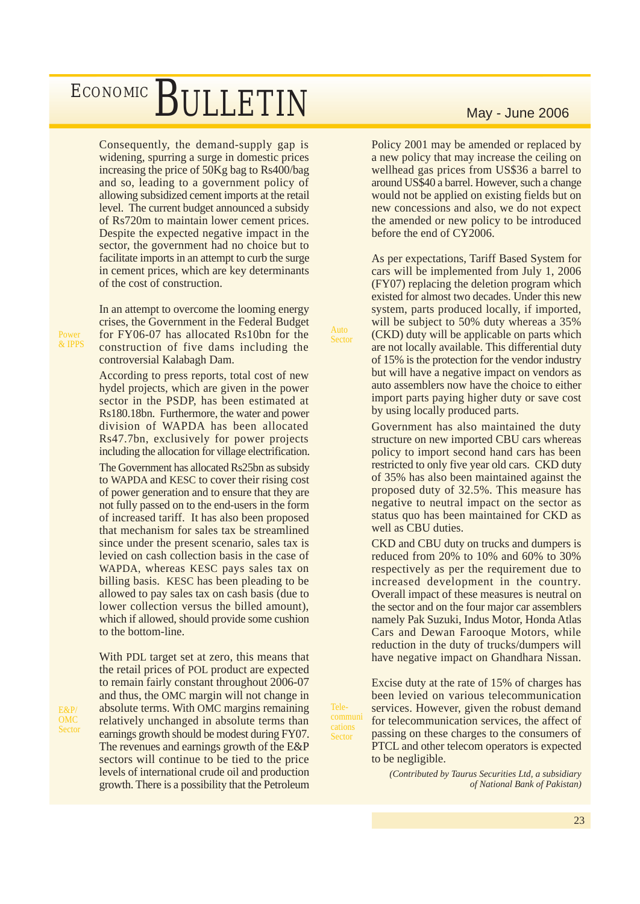Consequently, the demand-supply gap is widening, spurring a surge in domestic prices increasing the price of 50Kg bag to Rs400/bag and so, leading to a government policy of allowing subsidized cement imports at the retail level. The current budget announced a subsidy of Rs720m to maintain lower cement prices. Despite the expected negative impact in the sector, the government had no choice but to facilitate imports in an attempt to curb the surge in cement prices, which are key determinants of the cost of construction.

In an attempt to overcome the looming energy crises, the Government in the Federal Budget for FY06-07 has allocated Rs10bn for the construction of five dams including the controversial Kalabagh Dam.

Auto Sector

Telecommuni cations Sector

According to press reports, total cost of new hydel projects, which are given in the power sector in the PSDP, has been estimated at Rs180.18bn. Furthermore, the water and power division of WAPDA has been allocated Rs47.7bn, exclusively for power projects including the allocation for village electrification.

The Government has allocated Rs25bn as subsidy to WAPDA and KESC to cover their rising cost of power generation and to ensure that they are not fully passed on to the end-users in the form of increased tariff. It has also been proposed that mechanism for sales tax be streamlined since under the present scenario, sales tax is levied on cash collection basis in the case of WAPDA, whereas KESC pays sales tax on billing basis. KESC has been pleading to be allowed to pay sales tax on cash basis (due to lower collection versus the billed amount), which if allowed, should provide some cushion to the bottom-line.

With PDL target set at zero, this means that the retail prices of POL product are expected to remain fairly constant throughout 2006-07 and thus, the OMC margin will not change in absolute terms. With OMC margins remaining relatively unchanged in absolute terms than earnings growth should be modest during FY07. The revenues and earnings growth of the E&P sectors will continue to be tied to the price levels of international crude oil and production growth. There is a possibility that the Petroleum

Policy 2001 may be amended or replaced by a new policy that may increase the ceiling on wellhead gas prices from US\$36 a barrel to around US\$40 a barrel. However, such a change would not be applied on existing fields but on new concessions and also, we do not expect the amended or new policy to be introduced before the end of CY2006.

As per expectations, Tariff Based System for cars will be implemented from July 1, 2006 (FY07) replacing the deletion program which existed for almost two decades. Under this new system, parts produced locally, if imported, will be subject to 50% duty whereas a 35% (CKD) duty will be applicable on parts which are not locally available. This differential duty of 15% is the protection for the vendor industry but will have a negative impact on vendors as auto assemblers now have the choice to either import parts paying higher duty or save cost by using locally produced parts.

Government has also maintained the duty structure on new imported CBU cars whereas policy to import second hand cars has been restricted to only five year old cars. CKD duty of 35% has also been maintained against the proposed duty of 32.5%. This measure has negative to neutral impact on the sector as status quo has been maintained for CKD as well as CBU duties.

CKD and CBU duty on trucks and dumpers is reduced from 20% to 10% and 60% to 30% respectively as per the requirement due to increased development in the country. Overall impact of these measures is neutral on the sector and on the four major car assemblers namely Pak Suzuki, Indus Motor, Honda Atlas Cars and Dewan Farooque Motors, while reduction in the duty of trucks/dumpers will have negative impact on Ghandhara Nissan.

Excise duty at the rate of 15% of charges has been levied on various telecommunication services. However, given the robust demand for telecommunication services, the affect of passing on these charges to the consumers of PTCL and other telecom operators is expected to be negligible.

> *(Contributed by Taurus Securities Ltd, a subsidiary of National Bank of Pakistan)*

Power & IPPS